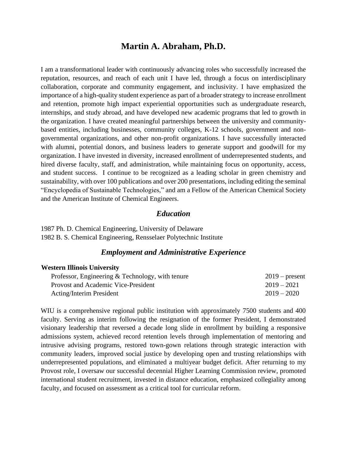# **Martin A. Abraham, Ph.D.**

I am a transformational leader with continuously advancing roles who successfully increased the reputation, resources, and reach of each unit I have led, through a focus on interdisciplinary collaboration, corporate and community engagement, and inclusivity. I have emphasized the importance of a high-quality student experience as part of a broader strategy to increase enrollment and retention, promote high impact experiential opportunities such as undergraduate research, internships, and study abroad, and have developed new academic programs that led to growth in the organization. I have created meaningful partnerships between the university and communitybased entities, including businesses, community colleges, K-12 schools, government and nongovernmental organizations, and other non-profit organizations. I have successfully interacted with alumni, potential donors, and business leaders to generate support and goodwill for my organization. I have invested in diversity, increased enrollment of underrepresented students, and hired diverse faculty, staff, and administration, while maintaining focus on opportunity, access, and student success. I continue to be recognized as a leading scholar in green chemistry and sustainability, with over 100 publications and over 200 presentations, including editing the seminal "Encyclopedia of Sustainable Technologies," and am a Fellow of the American Chemical Society and the American Institute of Chemical Engineers.

## *Education*

1987 Ph. D. Chemical Engineering, University of Delaware 1982 B. S. Chemical Engineering, Rensselaer Polytechnic Institute

#### *Employment and Administrative Experience*

#### **Western Illinois University**

| Professor, Engineering & Technology, with tenure | $2019$ – present |
|--------------------------------------------------|------------------|
| Provost and Academic Vice-President              | $2019 - 2021$    |
| <b>Acting/Interim President</b>                  | $2019 - 2020$    |

WIU is a comprehensive regional public institution with approximately 7500 students and 400 faculty. Serving as interim following the resignation of the former President, I demonstrated visionary leadership that reversed a decade long slide in enrollment by building a responsive admissions system, achieved record retention levels through implementation of mentoring and intrusive advising programs, restored town-gown relations through strategic interaction with community leaders, improved social justice by developing open and trusting relationships with underrepresented populations, and eliminated a multiyear budget deficit. After returning to my Provost role, I oversaw our successful decennial Higher Learning Commission review, promoted international student recruitment, invested in distance education, emphasized collegiality among faculty, and focused on assessment as a critical tool for curricular reform.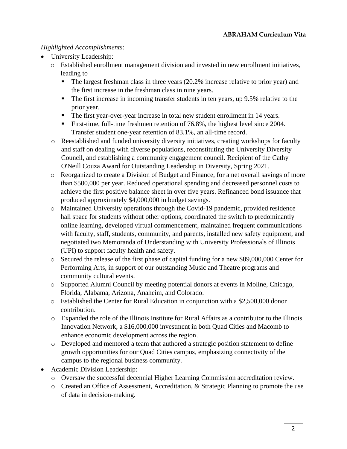## *Highlighted Accomplishments:*

- University Leadership:
	- o Established enrollment management division and invested in new enrollment initiatives, leading to
		- The largest freshman class in three years (20.2% increase relative to prior year) and the first increase in the freshman class in nine years.
		- **•** The first increase in incoming transfer students in ten years, up 9.5% relative to the prior year.
		- The first year-over-year increase in total new student enrollment in 14 years.
		- **Example 1** First-time, full-time freshmen retention of 76.8%, the highest level since 2004. Transfer student one-year retention of 83.1%, an all-time record.
	- o Reestablished and funded university diversity initiatives, creating workshops for faculty and staff on dealing with diverse populations, reconstituting the University Diversity Council, and establishing a community engagement council. Recipient of the Cathy O'Neill Couza Award for Outstanding Leadership in Diversity, Spring 2021.
	- o Reorganized to create a Division of Budget and Finance, for a net overall savings of more than \$500,000 per year. Reduced operational spending and decreased personnel costs to achieve the first positive balance sheet in over five years. Refinanced bond issuance that produced approximately \$4,000,000 in budget savings.
	- o Maintained University operations through the Covid-19 pandemic, provided residence hall space for students without other options, coordinated the switch to predominantly online learning, developed virtual commencement, maintained frequent communications with faculty, staff, students, community, and parents, installed new safety equipment, and negotiated two Memoranda of Understanding with University Professionals of Illinois (UPI) to support faculty health and safety.
	- o Secured the release of the first phase of capital funding for a new \$89,000,000 Center for Performing Arts, in support of our outstanding Music and Theatre programs and community cultural events.
	- o Supported Alumni Council by meeting potential donors at events in Moline, Chicago, Florida, Alabama, Arizona, Anaheim, and Colorado.
	- o Established the Center for Rural Education in conjunction with a \$2,500,000 donor contribution.
	- o Expanded the role of the Illinois Institute for Rural Affairs as a contributor to the Illinois Innovation Network, a \$16,000,000 investment in both Quad Cities and Macomb to enhance economic development across the region.
	- o Developed and mentored a team that authored a strategic position statement to define growth opportunities for our Quad Cities campus, emphasizing connectivity of the campus to the regional business community.
- Academic Division Leadership:
	- o Oversaw the successful decennial Higher Learning Commission accreditation review.
	- o Created an Office of Assessment, Accreditation, & Strategic Planning to promote the use of data in decision-making.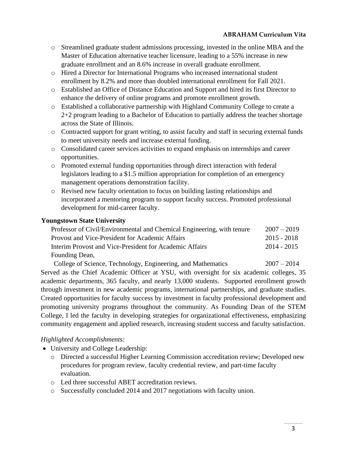- o Streamlined graduate student admissions processing, invested in the online MBA and the Master of Education alternative teacher licensure, leading to a 55% increase in new graduate enrollment and an 8.6% increase in overall graduate enrollment.
- o Hired a Director for International Programs who increased international student enrollment by 8.2% and more than doubled international enrollment for Fall 2021.
- o Established an Office of Distance Education and Support and hired its first Director to enhance the delivery of online programs and promote enrollment growth.
- o Established a collaborative partnership with Highland Community College to create a 2+2 program leading to a Bachelor of Education to partially address the teacher shortage across the State of Illinois.
- o Contracted support for grant writing, to assist faculty and staff in securing external funds to meet university needs and increase external funding.
- o Consolidated career services activities to expand emphasis on internships and career opportunities.
- o Promoted external funding opportunities through direct interaction with federal legislators leading to a \$1.5 million appropriation for completion of an emergency management operations demonstration facility.
- o Revised new faculty orientation to focus on building lasting relationships and incorporated a mentoring program to support faculty success. Promoted professional development for mid-career faculty.

## **Youngstown State University**

| Professor of Civil/Environmental and Chemical Engineering, with tenure | $2007 - 2019$ |
|------------------------------------------------------------------------|---------------|
| Provost and Vice-President for Academic Affairs                        | $2015 - 2018$ |
| Interim Provost and Vice-President for Academic Affairs                | $2014 - 2015$ |
| Founding Dean,                                                         |               |

College of Science, Technology, Engineering, and Mathematics 2007 – 2014 Served as the Chief Academic Officer at YSU, with oversight for six academic colleges, 35 academic departments, 365 faculty, and nearly 13,000 students. Supported enrollment growth through investment in new academic programs, international partnerships, and graduate studies. Created opportunities for faculty success by investment in faculty professional development and promoting university programs throughout the community. As Founding Dean of the STEM College, I led the faculty in developing strategies for organizational effectiveness, emphasizing community engagement and applied research, increasing student success and faculty satisfaction.

## *Highlighted Accomplishments:*

- University and College Leadership:
	- o Directed a successful Higher Learning Commission accreditation review; Developed new procedures for program review, faculty credential review, and part-time faculty evaluation.
	- o Led three successful ABET accreditation reviews.
	- o Successfully concluded 2014 and 2017 negotiations with faculty union.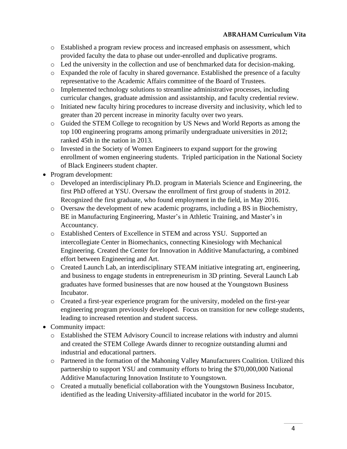- o Established a program review process and increased emphasis on assessment, which provided faculty the data to phase out under-enrolled and duplicative programs.
- o Led the university in the collection and use of benchmarked data for decision-making.
- o Expanded the role of faculty in shared governance. Established the presence of a faculty representative to the Academic Affairs committee of the Board of Trustees.
- o Implemented technology solutions to streamline administrative processes, including curricular changes, graduate admission and assistantship, and faculty credential review.
- o Initiated new faculty hiring procedures to increase diversity and inclusivity, which led to greater than 20 percent increase in minority faculty over two years.
- o Guided the STEM College to recognition by US News and World Reports as among the top 100 engineering programs among primarily undergraduate universities in 2012; ranked 45th in the nation in 2013.
- o Invested in the Society of Women Engineers to expand support for the growing enrollment of women engineering students. Tripled participation in the National Society of Black Engineers student chapter.
- Program development:
	- o Developed an interdisciplinary Ph.D. program in Materials Science and Engineering, the first PhD offered at YSU. Oversaw the enrollment of first group of students in 2012. Recognized the first graduate, who found employment in the field, in May 2016.
	- o Oversaw the development of new academic programs, including a BS in Biochemistry, BE in Manufacturing Engineering, Master's in Athletic Training, and Master's in Accountancy.
	- o Established Centers of Excellence in STEM and across YSU. Supported an intercollegiate Center in Biomechanics, connecting Kinesiology with Mechanical Engineering. Created the Center for Innovation in Additive Manufacturing, a combined effort between Engineering and Art.
	- o Created Launch Lab, an interdisciplinary STEAM initiative integrating art, engineering, and business to engage students in entrepreneurism in 3D printing. Several Launch Lab graduates have formed businesses that are now housed at the Youngstown Business Incubator.
	- o Created a first-year experience program for the university, modeled on the first-year engineering program previously developed. Focus on transition for new college students, leading to increased retention and student success.
- Community impact:
	- o Established the STEM Advisory Council to increase relations with industry and alumni and created the STEM College Awards dinner to recognize outstanding alumni and industrial and educational partners.
	- o Partnered in the formation of the Mahoning Valley Manufacturers Coalition. Utilized this partnership to support YSU and community efforts to bring the \$70,000,000 National Additive Manufacturing Innovation Institute to Youngstown.
	- o Created a mutually beneficial collaboration with the Youngstown Business Incubator, identified as the leading University-affiliated incubator in the world for 2015.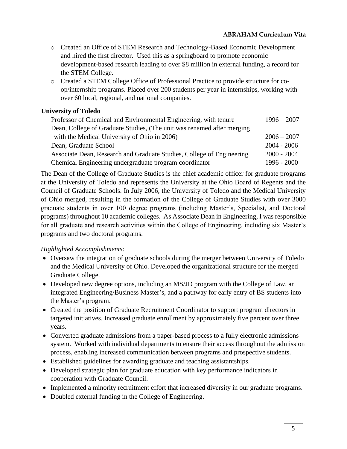- o Created an Office of STEM Research and Technology-Based Economic Development and hired the first director. Used this as a springboard to promote economic development-based research leading to over \$8 million in external funding, a record for the STEM College.
- o Created a STEM College Office of Professional Practice to provide structure for coop/internship programs. Placed over 200 students per year in internships, working with over 60 local, regional, and national companies.

## **University of Toledo**

| Professor of Chemical and Environmental Engineering, with tenure       | $1996 - 2007$ |
|------------------------------------------------------------------------|---------------|
| Dean, College of Graduate Studies, (The unit was renamed after merging |               |
| with the Medical University of Ohio in 2006)                           | $2006 - 2007$ |
| Dean, Graduate School                                                  | $2004 - 2006$ |
| Associate Dean, Research and Graduate Studies, College of Engineering  | $2000 - 2004$ |
| Chemical Engineering undergraduate program coordinator                 | $1996 - 2000$ |

The Dean of the College of Graduate Studies is the chief academic officer for graduate programs at the University of Toledo and represents the University at the Ohio Board of Regents and the Council of Graduate Schools. In July 2006, the University of Toledo and the Medical University of Ohio merged, resulting in the formation of the College of Graduate Studies with over 3000 graduate students in over 100 degree programs (including Master's, Specialist, and Doctoral programs) throughout 10 academic colleges. As Associate Dean in Engineering, I was responsible for all graduate and research activities within the College of Engineering, including six Master's programs and two doctoral programs.

## *Highlighted Accomplishments:*

- Oversaw the integration of graduate schools during the merger between University of Toledo and the Medical University of Ohio. Developed the organizational structure for the merged Graduate College.
- Developed new degree options, including an MS/JD program with the College of Law, an integrated Engineering/Business Master's, and a pathway for early entry of BS students into the Master's program.
- Created the position of Graduate Recruitment Coordinator to support program directors in targeted initiatives. Increased graduate enrollment by approximately five percent over three years.
- Converted graduate admissions from a paper-based process to a fully electronic admissions system. Worked with individual departments to ensure their access throughout the admission process, enabling increased communication between programs and prospective students.
- Established guidelines for awarding graduate and teaching assistantships.
- Developed strategic plan for graduate education with key performance indicators in cooperation with Graduate Council.
- Implemented a minority recruitment effort that increased diversity in our graduate programs.
- Doubled external funding in the College of Engineering.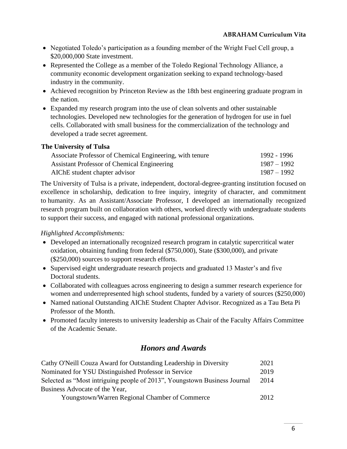- Negotiated Toledo's participation as a founding member of the Wright Fuel Cell group, a \$20,000,000 State investment.
- Represented the College as a member of the Toledo Regional Technology Alliance, a community economic development organization seeking to expand technology-based industry in the community.
- Achieved recognition by Princeton Review as the 18th best engineering graduate program in the nation.
- Expanded my research program into the use of clean solvents and other sustainable technologies. Developed new technologies for the generation of hydrogen for use in fuel cells. Collaborated with small business for the commercialization of the technology and developed a trade secret agreement.

## **The University of Tulsa**

| Associate Professor of Chemical Engineering, with tenure | 1992 - 1996   |
|----------------------------------------------------------|---------------|
| Assistant Professor of Chemical Engineering              | 1987 – 1992   |
| AIChE student chapter advisor                            | $1987 - 1992$ |

The University of Tulsa is a private, independent, doctoral-degree-granting institution focused on excellence in scholarship, dedication to free inquiry, integrity of character, and commitment to humanity. As an Assistant/Associate Professor, I developed an internationally recognized research program built on collaboration with others, worked directly with undergraduate students to support their success, and engaged with national professional organizations.

## *Highlighted Accomplishments:*

- Developed an internationally recognized research program in catalytic supercritical water oxidation, obtaining funding from federal (\$750,000), State (\$300,000), and private (\$250,000) sources to support research efforts.
- Supervised eight undergraduate research projects and graduated 13 Master's and five Doctoral students.
- Collaborated with colleagues across engineering to design a summer research experience for women and underrepresented high school students, funded by a variety of sources (\$250,000)
- Named national Outstanding AIChE Student Chapter Advisor. Recognized as a Tau Beta Pi Professor of the Month.
- Promoted faculty interests to university leadership as Chair of the Faculty Affairs Committee of the Academic Senate.

# *Honors and Awards*

| Cathy O'Neill Couza Award for Outstanding Leadership in Diversity         | 2021 |
|---------------------------------------------------------------------------|------|
| Nominated for YSU Distinguished Professor in Service                      | 2019 |
| Selected as "Most intriguing people of 2013", Youngstown Business Journal | 2014 |
| Business Advocate of the Year,                                            |      |
| Youngstown/Warren Regional Chamber of Commerce                            | 2012 |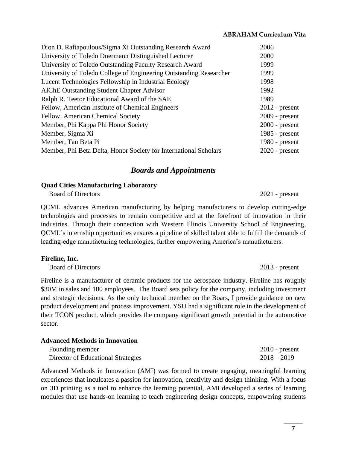| Dion D. Raftapoulous/Sigma Xi Outstanding Research Award           | 2006             |
|--------------------------------------------------------------------|------------------|
| University of Toledo Doermann Distinguished Lecturer               | 2000             |
| University of Toledo Outstanding Faculty Research Award            | 1999             |
| University of Toledo College of Engineering Outstanding Researcher | 1999             |
| Lucent Technologies Fellowship in Industrial Ecology               | 1998             |
| <b>AIChE Outstanding Student Chapter Advisor</b>                   | 1992             |
| Ralph R. Teetor Educational Award of the SAE                       | 1989             |
| Fellow, American Institute of Chemical Engineers                   | $2012$ - present |
| Fellow, American Chemical Society                                  | $2009$ - present |
| Member, Phi Kappa Phi Honor Society                                | $2000$ - present |
| Member, Sigma Xi                                                   | 1985 - $present$ |
| Member, Tau Beta Pi                                                | $1980$ - present |
| Member, Phi Beta Delta, Honor Society for International Scholars   | $2020$ - present |
|                                                                    |                  |

## *Boards and Appointments*

#### **Quad Cities Manufacturing Laboratory**

Board of Directors 2021 - present

QCML advances American manufacturing by helping manufacturers to develop cutting-edge technologies and processes to remain competitive and at the forefront of innovation in their industries. Through their connection with Western Illinois University School of Engineering, QCML's internship opportunities ensures a pipeline of skilled talent able to fulfill the demands of leading-edge manufacturing technologies, further empowering America's manufacturers.

#### **Fireline, Inc.**

Board of Directors 2013 - present

Fireline is a manufacturer of ceramic products for the aerospace industry. Fireline has roughly \$30M in sales and 100 employees. The Board sets policy for the company, including investment and strategic decisions. As the only technical member on the Boars, I provide guidance on new product development and process improvement. YSU had a significant role in the development of their TCON product, which provides the company significant growth potential in the automotive sector.

| <b>Advanced Methods in Innovation</b> |                  |
|---------------------------------------|------------------|
| Founding member                       | $2010$ - present |
| Director of Educational Strategies    | $2018 - 2019$    |

Advanced Methods in Innovation (AMI) was formed to create engaging, meaningful learning experiences that inculcates a passion for innovation, creativity and design thinking. With a focus on 3D printing as a tool to enhance the learning potential, AMI developed a series of learning modules that use hands-on learning to teach engineering design concepts, empowering students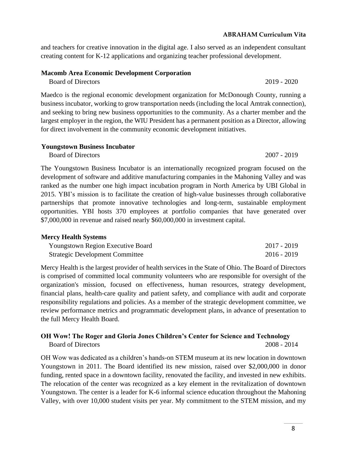and teachers for creative innovation in the digital age. I also served as an independent consultant creating content for K-12 applications and organizing teacher professional development.

## **Macomb Area Economic Development Corporation**

Board of Directors 2019 - 2020

Maedco is the regional economic development organization for McDonough County, running a business incubator, working to grow transportation needs (including the local Amtrak connection), and seeking to bring new business opportunities to the community. As a charter member and the largest employer in the region, the WIU President has a permanent position as a Director, allowing for direct involvement in the community economic development initiatives.

#### **Youngstown Business Incubator**

Board of Directors 2007 - 2019

The Youngstown Business Incubator is an internationally recognized program focused on the development of software and additive manufacturing companies in the Mahoning Valley and was ranked as the number one high impact incubation program in North America by UBI Global in 2015. YBI's mission is to facilitate the creation of high-value businesses through collaborative partnerships that promote innovative technologies and long-term, sustainable employment opportunities. YBI hosts 370 employees at portfolio companies that have generated over \$7,000,000 in revenue and raised nearly \$60,000,000 in investment capital.

## **Mercy Health Systems**

| <b>Youngstown Region Executive Board</b> | $2017 - 2019$ |  |
|------------------------------------------|---------------|--|
| <b>Strategic Development Committee</b>   | $2016 - 2019$ |  |

Mercy Health is the largest provider of health services in the State of Ohio. The Board of Directors is comprised of committed local community volunteers who are responsible for oversight of the organization's mission, focused on effectiveness, human resources, strategy development, financial plans, health-care quality and patient safety, and compliance with audit and corporate responsibility regulations and policies. As a member of the strategic development committee, we review performance metrics and programmatic development plans, in advance of presentation to the full Mercy Health Board.

## **OH Wow! The Roger and Gloria Jones Children's Center for Science and Technology** Board of Directors 2008 - 2014

OH Wow was dedicated as a children's hands-on STEM museum at its new location in downtown Youngstown in 2011. The Board identified its new mission, raised over \$2,000,000 in donor funding, rented space in a downtown facility, renovated the facility, and invested in new exhibits. The relocation of the center was recognized as a key element in the revitalization of downtown Youngstown. The center is a leader for K-6 informal science education throughout the Mahoning Valley, with over 10,000 student visits per year. My commitment to the STEM mission, and my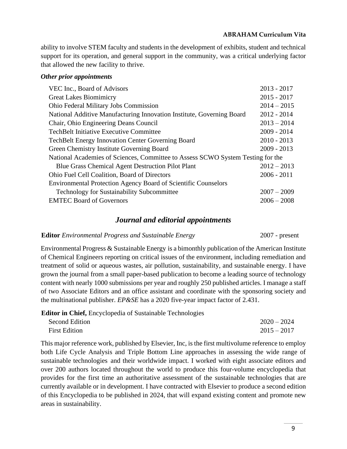ability to involve STEM faculty and students in the development of exhibits, student and technical support for its operation, and general support in the community, was a critical underlying factor that allowed the new facility to thrive.

## *Other prior appointments*

| VEC Inc., Board of Advisors                                                     | $2013 - 2017$ |
|---------------------------------------------------------------------------------|---------------|
| <b>Great Lakes Biomimicry</b>                                                   | $2015 - 2017$ |
| <b>Ohio Federal Military Jobs Commission</b>                                    | $2014 - 2015$ |
| National Additive Manufacturing Innovation Institute, Governing Board           | $2012 - 2014$ |
| Chair, Ohio Engineering Deans Council                                           | $2013 - 2014$ |
| <b>TechBelt Initiative Executive Committee</b>                                  | $2009 - 2014$ |
| <b>TechBelt Energy Innovation Center Governing Board</b>                        | $2010 - 2013$ |
| Green Chemistry Institute Governing Board                                       | $2009 - 2013$ |
| National Academies of Sciences, Committee to Assess SCWO System Testing for the |               |
| <b>Blue Grass Chemical Agent Destruction Pilot Plant</b>                        | $2012 - 2013$ |
| Ohio Fuel Cell Coalition, Board of Directors                                    | $2006 - 2011$ |
| <b>Environmental Protection Agency Board of Scientific Counselors</b>           |               |
| <b>Technology for Sustainability Subcommittee</b>                               | $2007 - 2009$ |
| <b>EMTEC Board of Governors</b>                                                 | $2006 - 2008$ |
|                                                                                 |               |

## *Journal and editorial appointments*

## **Editor** *Environmental Progress and Sustainable Energy* 2007 - present

Environmental Progress & Sustainable Energy is a bimonthly publication of the American Institute of Chemical Engineers reporting on critical issues of the environment, including remediation and treatment of solid or aqueous wastes, air pollution, sustainability, and sustainable energy. I have grown the journal from a small paper-based publication to become a leading source of technology content with nearly 1000 submissions per year and roughly 250 published articles. I manage a staff of two Associate Editors and an office assistant and coordinate with the sponsoring society and the multinational publisher. *EP&SE* has a 2020 five-year impact factor of 2.431.

**Editor in Chief,** Encyclopedia of Sustainable Technologies

| <b>Second Edition</b> | $2020 - 2024$ |
|-----------------------|---------------|
| <b>First Edition</b>  | $2015 - 2017$ |

This major reference work, published by Elsevier, Inc, is the first multivolume reference to employ both Life Cycle Analysis and Triple Bottom Line approaches in assessing the wide range of sustainable technologies and their worldwide impact. I worked with eight associate editors and over 200 authors located throughout the world to produce this four-volume encyclopedia that provides for the first time an authoritative assessment of the sustainable technologies that are currently available or in development. I have contracted with Elsevier to produce a second edition of this Encyclopedia to be published in 2024, that will expand existing content and promote new areas in sustainability.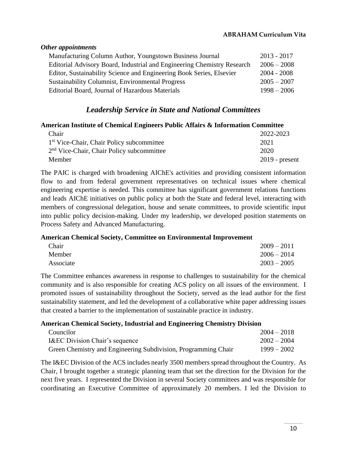# *Other appointments* Manufacturing Column Author, Youngstown Business Journal 2013 - 2017 Editorial Advisory Board, Industrial and Engineering Chemistry Research 2006 – 2008 Editor, Sustainability Science and Engineering Book Series, Elsevier 2004 - 2008 Sustainability Columnist, Environmental Progress 2005 – 2007 Editorial Board, Journal of Hazardous Materials 1998 – 2006

# *Leadership Service in State and National Committees*

## **American Institute of Chemical Engineers Public Affairs & Information Committee**

| Chair                                                 | 2022-2023        |
|-------------------------------------------------------|------------------|
| 1 <sup>st</sup> Vice-Chair, Chair Policy subcommittee | 2021             |
| $2nd$ Vice-Chair, Chair Policy subcommittee           | 2020             |
| Member                                                | $2019$ - present |

The PAIC is charged with broadening AIChE's activities and providing consistent information flow to and from federal government representatives on technical issues where chemical engineering expertise is needed. This committee has significant government relations functions and leads AIChE initiatives on public policy at both the State and federal level, interacting with members of congressional delegation, house and senate committees, to provide scientific input into public policy decision-making. Under my leadership, we developed position statements on Process Safety and Advanced Manufacturing.

**American Chemical Society, Committee on Environmental Improvement**

| Chair     | $2009 - 2011$ |
|-----------|---------------|
| Member    | $2006 - 2014$ |
| Associate | $2003 - 2005$ |

The Committee enhances awareness in response to challenges to sustainability for the chemical community and is also responsible for creating ACS policy on all issues of the environment. I promoted issues of sustainability throughout the Society, served as the lead author for the first sustainability statement, and led the development of a collaborative white paper addressing issues that created a barrier to the implementation of sustainable practice in industry.

## **American Chemical Society, Industrial and Engineering Chemistry Division**

| Councilor                                                      | $2004 - 2018$ |
|----------------------------------------------------------------|---------------|
| <b>I&amp;EC Division Chair's sequence</b>                      | $2002 - 2004$ |
| Green Chemistry and Engineering Subdivision, Programming Chair | $1999 - 2002$ |

The I&EC Division of the ACS includes nearly 3500 members spread throughout the Country. As Chair, I brought together a strategic planning team that set the direction for the Division for the next five years. I represented the Division in several Society committees and was responsible for coordinating an Executive Committee of approximately 20 members. I led the Division to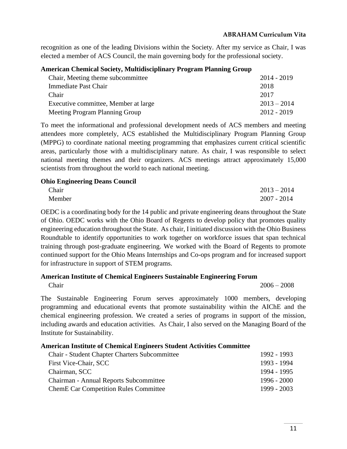recognition as one of the leading Divisions within the Society. After my service as Chair, I was elected a member of ACS Council, the main governing body for the professional society.

## **American Chemical Society, Multidisciplinary Program Planning Group**

| Chair, Meeting theme subcommittee    |  |  |  | 2014 - 2019   |
|--------------------------------------|--|--|--|---------------|
| Immediate Past Chair                 |  |  |  | 2018          |
| Chair                                |  |  |  | 2017          |
| Executive committee, Member at large |  |  |  | $2013 - 2014$ |
| Meeting Program Planning Group       |  |  |  | $2012 - 2019$ |
|                                      |  |  |  |               |

To meet the informational and professional development needs of ACS members and meeting attendees more completely, ACS established the Multidisciplinary Program Planning Group (MPPG) to coordinate national meeting programming that emphasizes current critical scientific areas, particularly those with a multidisciplinary nature. As chair, I was responsible to select national meeting themes and their organizers. ACS meetings attract approximately 15,000 scientists from throughout the world to each national meeting.

## **Ohio Engineering Deans Council**

| Chair  | $2013 - 2014$ |
|--------|---------------|
| Member | $2007 - 2014$ |

OEDC is a coordinating body for the 14 public and private engineering deans throughout the State of Ohio. OEDC works with the Ohio Board of Regents to develop policy that promotes quality engineering education throughout the State. As chair, I initiated discussion with the Ohio Business Roundtable to identify opportunities to work together on workforce issues that span technical training through post-graduate engineering. We worked with the Board of Regents to promote continued support for the Ohio Means Internships and Co-ops program and for increased support for infrastructure in support of STEM programs.

## **American Institute of Chemical Engineers Sustainable Engineering Forum**

Chair 2006 – 2008

The Sustainable Engineering Forum serves approximately 1000 members, developing programming and educational events that promote sustainability within the AIChE and the chemical engineering profession. We created a series of programs in support of the mission, including awards and education activities. As Chair, I also served on the Managing Board of the Institute for Sustainability.

## **American Institute of Chemical Engineers Student Activities Committee**

| <b>Chair - Student Chapter Charters Subcommittee</b> | 1992 - 1993 |
|------------------------------------------------------|-------------|
| First Vice-Chair, SCC                                | 1993 - 1994 |
| Chairman, SCC                                        | 1994 - 1995 |
| Chairman - Annual Reports Subcommittee               | 1996 - 2000 |
| <b>ChemE Car Competition Rules Committee</b>         | 1999 - 2003 |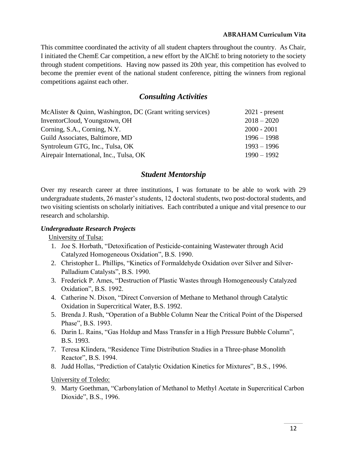This committee coordinated the activity of all student chapters throughout the country. As Chair, I initiated the ChemE Car competition, a new effort by the AIChE to bring notoriety to the society through student competitions. Having now passed its 20th year, this competition has evolved to become the premier event of the national student conference, pitting the winners from regional competitions against each other.

## *Consulting Activities*

| McAlister & Quinn, Washington, DC (Grant writing services) | $2021$ - present |
|------------------------------------------------------------|------------------|
| InventorCloud, Youngstown, OH                              | $2018 - 2020$    |
| Corning, S.A., Corning, N.Y.                               | $2000 - 2001$    |
| Guild Associates, Baltimore, MD                            | $1996 - 1998$    |
| Syntroleum GTG, Inc., Tulsa, OK                            | $1993 - 1996$    |
| Airepair International, Inc., Tulsa, OK                    | $1990 - 1992$    |

# *Student Mentorship*

Over my research career at three institutions, I was fortunate to be able to work with 29 undergraduate students, 26 master's students, 12 doctoral students, two post-doctoral students, and two visiting scientists on scholarly initiatives. Each contributed a unique and vital presence to our research and scholarship.

## *Undergraduate Research Projects*

University of Tulsa:

- 1. Joe S. Horbath, "Detoxification of Pesticide-containing Wastewater through Acid Catalyzed Homogeneous Oxidation", B.S. 1990.
- 2. Christopher L. Phillips, "Kinetics of Formaldehyde Oxidation over Silver and Silver-Palladium Catalysts", B.S. 1990.
- 3. Frederick P. Ames, "Destruction of Plastic Wastes through Homogeneously Catalyzed Oxidation", B.S. 1992.
- 4. Catherine N. Dixon, "Direct Conversion of Methane to Methanol through Catalytic Oxidation in Supercritical Water, B.S. 1992.
- 5. Brenda J. Rush, "Operation of a Bubble Column Near the Critical Point of the Dispersed Phase", B.S. 1993.
- 6. Darin L. Rains, "Gas Holdup and Mass Transfer in a High Pressure Bubble Column", B.S. 1993.
- 7. Teresa Klindera, "Residence Time Distribution Studies in a Three-phase Monolith Reactor", B.S. 1994.
- 8. Judd Hollas, "Prediction of Catalytic Oxidation Kinetics for Mixtures", B.S., 1996.

University of Toledo:

9. Marty Goethman, "Carbonylation of Methanol to Methyl Acetate in Supercritical Carbon Dioxide", B.S., 1996.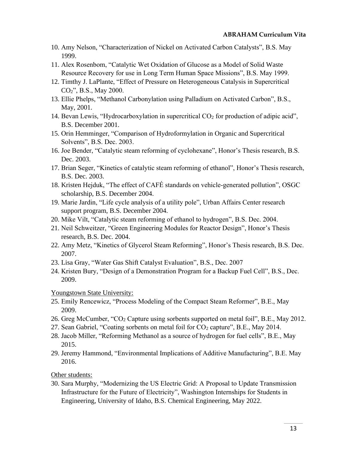- 10. Amy Nelson, "Characterization of Nickel on Activated Carbon Catalysts", B.S. May 1999.
- 11. Alex Rosenbom, "Catalytic Wet Oxidation of Glucose as a Model of Solid Waste Resource Recovery for use in Long Term Human Space Missions", B.S. May 1999.
- 12. Timthy J. LaPlante, "Effect of Pressure on Heterogeneous Catalysis in Supercritical CO2", B.S., May 2000.
- 13. Ellie Phelps, "Methanol Carbonylation using Palladium on Activated Carbon", B.S., May, 2001.
- 14. Bevan Lewis, "Hydrocarboxylation in supercritical  $CO<sub>2</sub>$  for production of adipic acid", B.S. December 2001.
- 15. Orin Hemminger, "Comparison of Hydroformylation in Organic and Supercritical Solvents", B.S. Dec. 2003.
- 16. Joe Bender, "Catalytic steam reforming of cyclohexane", Honor's Thesis research, B.S. Dec. 2003.
- 17. Brian Seger, "Kinetics of catalytic steam reforming of ethanol", Honor's Thesis research, B.S. Dec. 2003.
- 18. Kristen Hejduk, "The effect of CAFÉ standards on vehicle-generated pollution", OSGC scholarship, B.S. December 2004.
- 19. Marie Jardin, "Life cycle analysis of a utility pole", Urban Affairs Center research support program, B.S. December 2004.
- 20. Mike Vilt, "Catalytic steam reforming of ethanol to hydrogen", B.S. Dec. 2004.
- 21. Neil Schweitzer, "Green Engineering Modules for Reactor Design", Honor's Thesis research, B.S. Dec. 2004.
- 22. Amy Metz, "Kinetics of Glycerol Steam Reforming", Honor's Thesis research, B.S. Dec. 2007.
- 23. Lisa Gray, "Water Gas Shift Catalyst Evaluation", B.S., Dec. 2007
- 24. Kristen Bury, "Design of a Demonstration Program for a Backup Fuel Cell", B.S., Dec. 2009.

## Youngstown State University:

- 25. Emily Rencewicz, "Process Modeling of the Compact Steam Reformer", B.E., May 2009.
- 26. Greg McCumber, "CO<sup>2</sup> Capture using sorbents supported on metal foil", B.E., May 2012.
- 27. Sean Gabriel, "Coating sorbents on metal foil for  $CO<sub>2</sub>$  capture", B.E., May 2014.
- 28. Jacob Miller, "Reforming Methanol as a source of hydrogen for fuel cells", B.E., May 2015.
- 29. Jeremy Hammond, "Environmental Implications of Additive Manufacturing", B.E. May 2016.

## Other students:

30. Sara Murphy, "Modernizing the US Electric Grid: A Proposal to Update Transmission Infrastructure for the Future of Electricity", Washington Internships for Students in Engineering, University of Idaho, B.S. Chemical Engineering, May 2022.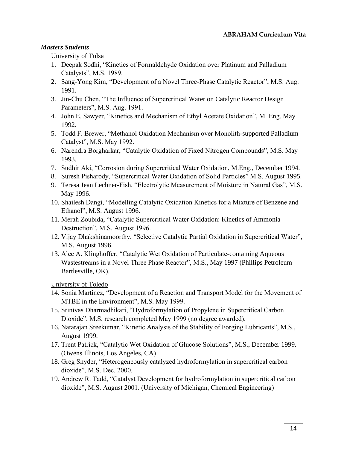## *Masters Students*

University of Tulsa

- 1. Deepak Sodhi, "Kinetics of Formaldehyde Oxidation over Platinum and Palladium Catalysts", M.S. 1989.
- 2. Sang-Yong Kim, "Development of a Novel Three-Phase Catalytic Reactor", M.S. Aug. 1991.
- 3. Jin-Chu Chen, "The Influence of Supercritical Water on Catalytic Reactor Design Parameters", M.S. Aug. 1991.
- 4. John E. Sawyer, "Kinetics and Mechanism of Ethyl Acetate Oxidation", M. Eng. May 1992.
- 5. Todd F. Brewer, "Methanol Oxidation Mechanism over Monolith-supported Palladium Catalyst", M.S. May 1992.
- 6. Narendra Borgharkar, "Catalytic Oxidation of Fixed Nitrogen Compounds", M.S. May 1993.
- 7. Sudhir Aki, "Corrosion during Supercritical Water Oxidation, M.Eng., December 1994.
- 8. Suresh Pisharody, "Supercritical Water Oxidation of Solid Particles" M.S. August 1995.
- 9. Teresa Jean Lechner-Fish, "Electrolytic Measurement of Moisture in Natural Gas", M.S. May 1996.
- 10. Shailesh Dangi, "Modelling Catalytic Oxidation Kinetics for a Mixture of Benzene and Ethanol", M.S. August 1996.
- 11. Merah Zoubida, "Catalytic Supercritical Water Oxidation: Kinetics of Ammonia Destruction", M.S. August 1996.
- 12. Vijay Dhakshinamoorthy, "Selective Catalytic Partial Oxidation in Supercritical Water", M.S. August 1996.
- 13. Alec A. Klinghoffer, "Catalytic Wet Oxidation of Particulate-containing Aqueous Wastestreams in a Novel Three Phase Reactor", M.S., May 1997 (Phillips Petroleum – Bartlesville, OK).

University of Toledo

- 14. Sonia Martinez, "Development of a Reaction and Transport Model for the Movement of MTBE in the Environment", M.S. May 1999.
- 15. Srinivas Dharmadhikari, "Hydroformylation of Propylene in Supercritical Carbon Dioxide", M.S. research completed May 1999 (no degree awarded).
- 16. Natarajan Sreekumar, "Kinetic Analysis of the Stability of Forging Lubricants", M.S., August 1999.
- 17. Trent Patrick, "Catalytic Wet Oxidation of Glucose Solutions", M.S., December 1999. (Owens Illinois, Los Angeles, CA)
- 18. Greg Snyder, "Heterogeneously catalyzed hydroformylation in supercritical carbon dioxide", M.S. Dec. 2000.
- 19. Andrew R. Tadd, "Catalyst Development for hydroformylation in supercritical carbon dioxide", M.S. August 2001. (University of Michigan, Chemical Engineering)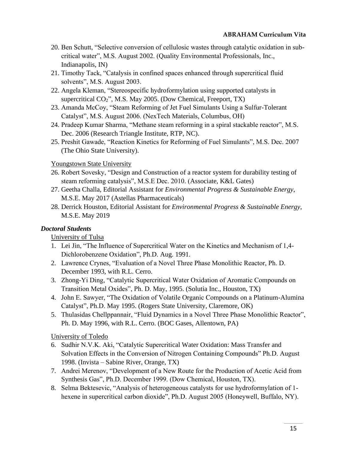- 20. Ben Schutt, "Selective conversion of cellulosic wastes through catalytic oxidation in subcritical water", M.S. August 2002. (Quality Environmental Professionals, Inc., Indianapolis, IN)
- 21. Timothy Tack, "Catalysis in confined spaces enhanced through supercritical fluid solvents", M.S. August 2003.
- 22. Angela Kleman, "Stereospecific hydroformylation using supported catalysts in supercritical CO<sub>2</sub>", M.S. May 2005. (Dow Chemical, Freeport, TX)
- 23. Amanda McCoy, "Steam Reforming of Jet Fuel Simulants Using a Sulfur-Tolerant Catalyst", M.S. August 2006. (NexTech Materials, Columbus, OH)
- 24. Pradeep Kumar Sharma, "Methane steam reforming in a spiral stackable reactor", M.S. Dec. 2006 (Research Triangle Institute, RTP, NC).
- 25. Preshit Gawade, "Reaction Kinetics for Reforming of Fuel Simulants", M.S. Dec. 2007 (The Ohio State University).

## Youngstown State University

- 26. Robert Sovesky, "Design and Construction of a reactor system for durability testing of steam reforming catalysis", M.S.E Dec. 2010. (Associate, K&L Gates)
- 27. Geetha Challa, Editorial Assistant for *Environmental Progress & Sustainable Energy*, M.S.E. May 2017 (Astellas Pharmaceuticals)
- 28. Derrick Houston, Editorial Assistant for *Environmental Progress & Sustainable Energy*, M.S.E. May 2019

## *Doctoral Students*

## University of Tulsa

- 1. Lei Jin, "The Influence of Supercritical Water on the Kinetics and Mechanism of 1,4- Dichlorobenzene Oxidation", Ph.D. Aug. 1991.
- 2. Lawrence Crynes, "Evaluation of a Novel Three Phase Monolithic Reactor, Ph. D. December 1993, with R.L. Cerro.
- 3. Zhong-Yi Ding, "Catalytic Supercritical Water Oxidation of Aromatic Compounds on Transition Metal Oxides", Ph. D. May, 1995. (Solutia Inc., Houston, TX)
- 4. John E. Sawyer, "The Oxidation of Volatile Organic Compounds on a Platinum-Alumina Catalyst", Ph.D. May 1995. (Rogers State University, Claremore, OK)
- 5. Thulasidas Chellppannair, "Fluid Dynamics in a Novel Three Phase Monolithic Reactor", Ph. D. May 1996, with R.L. Cerro. (BOC Gases, Allentown, PA)

## University of Toledo

- 6. Sudhir N.V.K. Aki, "Catalytic Supercritical Water Oxidation: Mass Transfer and Solvation Effects in the Conversion of Nitrogen Containing Compounds" Ph.D. August 1998. (Invista – Sabine River, Orange, TX)
- 7. Andrei Merenov, "Development of a New Route for the Production of Acetic Acid from Synthesis Gas", Ph.D. December 1999. (Dow Chemical, Houston, TX).
- 8. Selma Bektesevic, "Analysis of heterogeneous catalysts for use hydroformylation of 1 hexene in supercritical carbon dioxide", Ph.D. August 2005 (Honeywell, Buffalo, NY).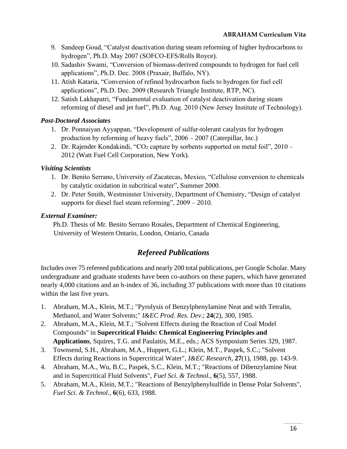- 9. Sandeep Goud, "Catalyst deactivation during steam reforming of higher hydrocarbons to hydrogen", Ph.D. May 2007 (SOFCO-EFS/Rolls Royce).
- 10. Sadashiv Swami, "Conversion of biomass-derived compounds to hydrogen for fuel cell applications", Ph.D. Dec. 2008 (Praxair, Buffalo, NY).
- 11. Atish Kataria, "Conversion of refined hydrocarbon fuels to hydrogen for fuel cell applications", Ph.D. Dec. 2009 (Research Triangle Institute, RTP, NC).
- 12. Satish Lakhapatri, "Fundamental evaluation of catalyst deactivation during steam reforming of diesel and jet fuel", Ph.D. Aug. 2010 (New Jersey Institute of Technology).

## *Post-Doctoral Associates*

- 1. Dr. Ponnaiyan Ayyappan, "Development of sulfur-tolerant catalysts for hydrogen production by reforming of heavy fuels", 2006 – 2007 (Caterpillar, Inc.)
- 2. Dr. Rajender Kondakindi, "CO<sub>2</sub> capture by sorbents supported on metal foil",  $2010 -$ 2012 (Watt Fuel Cell Corporation, New York).

## *Visiting Scientists*

- 1. Dr. Benito Serrano, University of Zacatecas, Mexico, "Cellulose conversion to chemicals by catalytic oxidation in subcritical water", Summer 2000.
- 2. Dr. Peter Smith, Westminster University, Department of Chemistry, "Design of catalyst supports for diesel fuel steam reforming", 2009 – 2010.

## *External Examiner:*

Ph.D. Thesis of Mr. Benito Serrano Rosales, Department of Chemical Engineering, University of Western Ontario, London, Ontario, Canada

# *Refereed Publications*

Includes over 75 refereed publications and nearly 200 total publications, per Google Scholar. Many undergraduate and graduate students have been co-authors on these papers, which have generated nearly 4,000 citations and an h-index of 36, including 37 publications with more than 10 citations within the last five years.

- 1. Abraham, M.A., Klein, M.T.; "Pyrolysis of Benzylphenylamine Neat and with Tetralin, Methanol, and Water Solvents;" *I&EC Prod. Res. Dev*.; **24**(2), 300, 1985.
- 2. Abraham, M.A., Klein, M.T.; "Solvent Effects during the Reaction of Coal Model Compounds" in **Supercritical Fluids: Chemical Engineering Principles and Applications**, Squires, T.G. and Paulaitis, M.E., eds.; ACS Symposium Series 329, 1987.
- 3. Townsend, S.H., Abraham, M.A., Huppert, G.L.; Klein, M.T., Paspek, S.C.; "Solvent Effects during Reactions in Supercritical Water", *I&EC Research*, **27**(1), 1988, pp. 143-9.
- 4. Abraham, M.A., Wu, B.C., Paspek, S.C., Klein, M.T.; "Reactions of Dibenzylamine Neat and in Supercritical Fluid Solvents", *Fuel Sci. & Technol.,* **6**(5), 557, 1988.
- 5. Abraham, M.A., Klein, M.T.; "Reactions of Benzylphenylsulfide in Dense Polar Solvents", *Fuel Sci. & Technol.*, **6**(6), 633, 1988.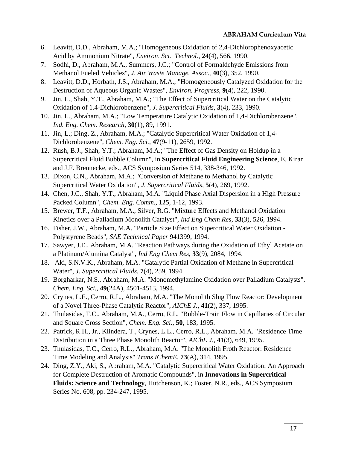- 6. Leavitt, D.D., Abraham, M.A.; "Homogeneous Oxidation of 2,4-Dichlorophenoxyacetic Acid by Ammonium Nitrate", *Environ*. *Sci. Technol*., **24**(4), 566, 1990.
- 7. Sodhi, D., Abraham, M.A., Summers, J.C.; "Control of Formaldehyde Emissions from Methanol Fueled Vehicles", *J*. *Air Waste Manage. Assoc*., **40**(3), 352, 1990.
- 8. Leavitt, D.D., Horbath, J.S., Abraham, M.A.; "Homogeneously Catalyzed Oxidation for the Destruction of Aqueous Organic Wastes", *Environ. Progress*, **9**(4), 222, 1990.
- 9. Jin, L., Shah, Y.T., Abraham, M.A.; "The Effect of Supercritical Water on the Catalytic Oxidation of 1.4-Dichlorobenzene", *J. Supercritical Fluids*, **3**(4), 233, 1990.
- 10. Jin, L., Abraham, M.A.; "Low Temperature Catalytic Oxidation of 1,4-Dichlorobenzene", *Ind. Eng. Chem. Research*, **30**(1), 89, 1991.
- 11. Jin, L.; Ding, Z., Abraham, M.A.; "Catalytic Supercritical Water Oxidation of 1,4- Dichlorobenzene", *Chem. Eng. Sci.*, **47**(9-11), 2659, 1992.
- 12. Rush, B.J.; Shah, Y.T.; Abraham, M.A.; "The Effect of Gas Density on Holdup in a Supercritical Fluid Bubble Column", in **Supercritical Fluid Engineering Science**, E. Kiran and J.F. Brennecke, eds., ACS Symposium Series 514, 338-346, 1992.
- 13. Dixon, C.N., Abraham, M.A.; "Conversion of Methane to Methanol by Catalytic Supercritical Water Oxidation", *J. Supercritical Fluids*, **5**(4), 269, 1992.
- 14. Chen, J.C., Shah, Y.T., Abraham, M.A. "Liquid Phase Axial Dispersion in a High Pressure Packed Column", *Chem. Eng. Comm.,* **125**, 1-12, 1993.
- 15. Brewer, T.F., Abraham, M.A., Silver, R.G. "Mixture Effects and Methanol Oxidation Kinetics over a Palladium Monolith Catalyst", *Ind Eng Chem Res*, **33**(3), 526, 1994.
- 16. Fisher, J.W., Abraham, M.A. "Particle Size Effect on Supercritical Water Oxidation Polystyrene Beads", *SAE Technical Paper* 941399, 1994.
- 17. Sawyer, J.E., Abraham, M.A. "Reaction Pathways during the Oxidation of Ethyl Acetate on a Platinum/Alumina Catalyst", *Ind Eng Chem Res*, **33**(9), 2084, 1994.
- 18. Aki, S.N.V.K., Abraham, M.A. "Catalytic Partial Oxidation of Methane in Supercritical Water", *J. Supercritical Fluids,* **7**(4), 259, 1994.
- 19. Borgharkar, N.S., Abraham, M.A. "Monomethylamine Oxidation over Palladium Catalysts", *Chem. Eng. Sci.,* **49**(24A), 4501-4513, 1994.
- 20. Crynes, L.E., Cerro, R.L., Abraham, M.A. "The Monolith Slug Flow Reactor: Development of a Novel Three-Phase Catalytic Reactor", *AIChE J.*, **41**(2), 337, 1995.
- 21. Thulasidas, T.C., Abraham, M.A., Cerro, R.L. "Bubble-Train Flow in Capillaries of Circular and Square Cross Section", *Chem. Eng. Sci.,* **50**, 183, 1995.
- 22. Patrick, R.H., Jr., Klindera, T., Crynes, L.L., Cerro, R.L., Abraham, M.A. "Residence Time Distribution in a Three Phase Monolith Reactor", *AIChE J.*, **41**(3), 649, 1995.
- 23. Thulasidas, T.C., Cerro, R.L., Abraham, M.A. "The Monolith Froth Reactor: Residence Time Modeling and Analysis" *Trans IChemE*, **73**(A), 314, 1995.
- 24. Ding, Z.Y., Aki, S., Abraham, M.A. "Catalytic Supercritical Water Oxidation: An Approach for Complete Destruction of Aromatic Compounds", in **Innovations in Supercritical Fluids: Science and Technology**, Hutchenson, K.; Foster, N.R., eds., ACS Symposium Series No. 608, pp. 234-247, 1995.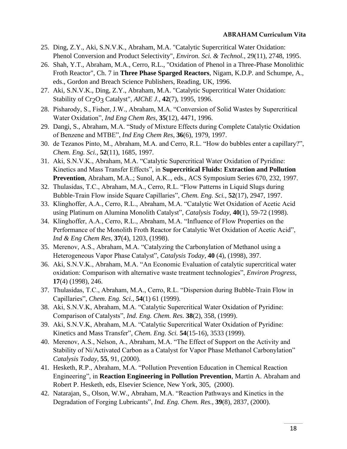- 25. Ding, Z.Y., Aki, S.N.V.K., Abraham, M.A. "Catalytic Supercritical Water Oxidation: Phenol Conversion and Product Selectivity", *Environ. Sci. & Technol.*, 29(11), 2748, 1995.
- 26. Shah, Y.T., Abraham, M.A., Cerro, R.L., "Oxidation of Phenol in a Three-Phase Monolithic Froth Reactor", Ch. 7 in **Three Phase Sparged Reactors**, Nigam, K.D.P. and Schumpe, A., eds., Gordon and Breach Science Publishers, Reading, UK, 1996.
- 27. Aki, S.N.V.K., Ding, Z.Y., Abraham, M.A. "Catalytic Supercritical Water Oxidation: Stability of Cr<sub>2</sub>O<sub>3</sub> Catalyst", *AIChE J.*, **42**(7), 1995, 1996.
- 28. Pisharody, S., Fisher, J.W., Abraham, M.A. "Conversion of Solid Wastes by Supercritical Water Oxidation", *Ind Eng Chem Res*, **35**(12), 4471, 1996.
- 29. Dangi, S., Abraham, M.A. "Study of Mixture Effects during Complete Catalytic Oxidation of Benzene and MTBE", *Ind Eng Chem Res*, **36**(6), 1979, 1997.
- 30. de Tezanos Pinto, M., Abraham, M.A. and Cerro, R.L. "How do bubbles enter a capillary?", *Chem. Eng. Sci.,* **52**(11), 1685, 1997.
- 31. Aki, S.N.V.K., Abraham, M.A. "Catalytic Supercritical Water Oxidation of Pyridine: Kinetics and Mass Transfer Effects", in **Supercritical Fluids: Extraction and Pollution Prevention**, Abraham, M.A..; Sunol, A.K.., eds., ACS Symposium Series 670, 232, 1997.
- 32. Thulasidas, T.C., Abraham, M.A., Cerro, R.L. "Flow Patterns in Liquid Slugs during Bubble-Train Flow inside Square Capillaries", *Chem. Eng. Sci.*, **52**(17), 2947, 1997.
- 33. Klinghoffer, A.A., Cerro, R.L., Abraham, M.A. "Catalytic Wet Oxidation of Acetic Acid using Platinum on Alumina Monolith Catalyst", *Catalysis Today*, **40**(1), 59-72 (1998).
- 34. Klinghoffer, A.A., Cerro, R.L., Abraham, M.A. "Influence of Flow Properties on the Performance of the Monolith Froth Reactor for Catalytic Wet Oxidation of Acetic Acid", *Ind & Eng Chem Res*, **37**(4), 1203, (1998).
- 35. Merenov, A.S., Abraham, M.A. "Catalyzing the Carbonylation of Methanol using a Heterogeneous Vapor Phase Catalyst", *Catalysis Today*, **40** (4), (1998), 397.
- 36. Aki, S.N.V.K., Abraham, M.A. "An Economic Evaluation of catalytic supercritical water oxidation: Comparison with alternative waste treatment technologies", *Environ Progress*, **17**(4) (1998), 246.
- 37. Thulasidas, T.C., Abraham, M.A., Cerro, R.L. "Dispersion during Bubble-Train Flow in Capillaries", *Chem. Eng. Sci.*, **54**(1) 61 (1999).
- 38. Aki, S.N.V.K, Abraham, M.A. "Catalytic Supercritical Water Oxidation of Pyridine: Comparison of Catalysts", *Ind. Eng. Chem. Res.* **38**(2), 358, (1999).
- 39. Aki, S.N.V.K, Abraham, M.A. "Catalytic Supercritical Water Oxidation of Pyridine: Kinetics and Mass Transfer", *Chem. Eng. Sci.* **54**(15-16), 3533 (1999).
- 40. Merenov, A.S., Nelson, A., Abraham, M.A. "The Effect of Support on the Activity and Stability of Ni/Activated Carbon as a Catalyst for Vapor Phase Methanol Carbonylation" *Catalysis Today*, **55**, 91, (2000).
- 41. Hesketh, R.P., Abraham, M.A. "Pollution Prevention Education in Chemical Reaction Engineering", in **Reaction Engineering in Pollution Prevention**, Martin A. Abraham and Robert P. Hesketh, eds, Elsevier Science, New York, 305, (2000).
- 42. Natarajan, S., Olson, W.W., Abraham, M.A. "Reaction Pathways and Kinetics in the Degradation of Forging Lubricants", *Ind. Eng. Chem. Res.*, **39**(8), 2837, (2000).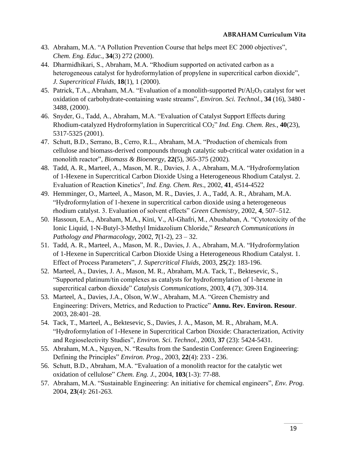- 43. Abraham, M.A. "A Pollution Prevention Course that helps meet EC 2000 objectives", *Chem. Eng. Educ.*, **34**(3) 272 (2000).
- 44. Dharmidhikari, S., Abraham, M.A. "Rhodium supported on activated carbon as a heterogeneous catalyst for hydroformylation of propylene in supercritical carbon dioxide", *J. Supercritical Fluids*, **18**(1), 1 (2000).
- 45. Patrick, T.A., Abraham, M.A. "Evaluation of a monolith-supported Pt/Al2O3 catalyst for wet oxidation of carbohydrate-containing waste streams", *Environ. Sci. Technol.,* **34** (16), 3480 - 3488, (2000).
- 46. Snyder, G., Tadd, A., Abraham, M.A. "Evaluation of Catalyst Support Effects during Rhodium-catalyzed Hydroformylation in Supercritical CO2" *Ind. Eng. Chem. Res.,* **40**(23), 5317-5325 (2001).
- 47. Schutt, B.D., Serrano, B., Cerro, R.L., Abraham, M.A. "Production of chemicals from cellulose and biomass-derived compounds through catalytic sub-critical water oxidation in a monolith reactor", *Biomass & Bioenergy*, **22(**5), 365-375 (2002)*.*
- 48. Tadd, A. R., Marteel, A., Mason, M. R., Davies, J. A., Abraham, M.A. "Hydroformylation of 1-Hexene in Supercritical Carbon Dioxide Using a Heterogeneous Rhodium Catalyst. 2. Evaluation of Reaction Kinetics", *Ind. Eng. Chem. Res*., 2002, **41**, 4514-4522
- 49. Hemminger, O., Marteel, A., Mason, M. R., Davies, J. A., Tadd, A. R., Abraham, M.A. "Hydroformylation of 1-hexene in supercritical carbon dioxide using a heterogeneous rhodium catalyst. 3. Evaluation of solvent effects" *Green Chemistry*, 2002, **4**, 507–512.
- 50. Hassoun, E.A., Abraham, M.A., Kini, V., Al-Ghafri, M., Abushaban, A. "Cytotoxicity of the Ionic Liquid, 1-N-Butyl-3-Methyl Imidazolium Chloride," *Research Communications in Pathology and Pharmacology*, 2002, **7**(1-2), 23 – 32.
- 51. Tadd, A. R., Marteel, A., Mason, M. R., Davies, J. A., Abraham, M.A. "Hydroformylation of 1-Hexene in Supercritical Carbon Dioxide Using a Heterogeneous Rhodium Catalyst. 1. Effect of Process Parameters", *J. Supercritical Fluids*, 2003, **25**(2): 183-196.
- 52. Marteel, A., Davies, J. A., Mason, M. R., Abraham, M.A. Tack, T., Bektesevic, S., "Supported platinum/tin complexes as catalysts for hydroformylation of 1-hexene in supercritical carbon dioxide" *Catalysis Communications*, 2003, **4** (7), 309-314.
- 53. Marteel, A., Davies, J.A., Olson, W.W., Abraham, M.A. "Green Chemistry and Engineering: Drivers, Metrics, and Reduction to Practice" **Annu. Rev. Environ. Resour**. 2003, 28:401–28.
- 54. Tack, T., Marteel, A., Bektesevic, S., Davies, J. A., Mason, M. R., Abraham, M.A. "Hydroformylation of 1-Hexene in Supercritical Carbon Dioxide: Characterization, Activity and Regioselectivity Studies", *Environ. Sci. Technol.*, 2003, **37** (23): 5424-5431.
- 55. Abraham, M.A., Nguyen, N. "Results from the Sandestin Conference: Green Engineering: Defining the Principles" *Environ. Prog.*, 2003, **22**(4): 233 - 236.
- 56. Schutt, B.D., Abraham, M.A. "Evaluation of a monolith reactor for the catalytic wet oxidation of cellulose" *Chem. Eng. J.*, 2004, **103**(1-3): 77-88.
- 57. Abraham, M.A. "Sustainable Engineering: An initiative for chemical engineers", *Env. Prog.* 2004, **23**(4): 261-263*.*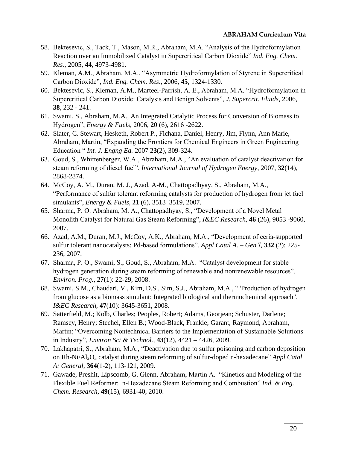- 58. Bektesevic, S., Tack, T., Mason, M.R., Abraham, M.A. "Analysis of the Hydroformylation Reaction over an Immobilized Catalyst in Supercritical Carbon Dioxide" *Ind. Eng. Chem. Res*., 2005, **44**, 4973-4981.
- 59. Kleman, A.M., Abraham, M.A., "Asymmetric Hydroformylation of Styrene in Supercritical Carbon Dioxide", *Ind. Eng. Chem. Res*., 2006, **45**, 1324-1330.
- 60. Bektesevic, S., Kleman, A.M., Marteel-Parrish, A. E., Abraham, M.A. "Hydroformylation in Supercritical Carbon Dioxide: Catalysis and Benign Solvents", *J. Supercrit. Fluids*, 2006, **38**, 232 - 241.
- 61. Swami, S., Abraham, M.A., An Integrated Catalytic Process for Conversion of Biomass to Hydrogen", *Energy & Fuels*, 2006, **20** (6), 2616 -2622.
- 62. Slater, C. Stewart, Hesketh, Robert P., Fichana, Daniel, Henry, Jim, Flynn, Ann Marie, Abraham, Martin, "Expanding the Frontiers for Chemical Engineers in Green Engineering Education " *Int. J. Engng Ed.* 2007 **23**(2), 309-324.
- 63. Goud, S., Whittenberger, W.A., Abraham, M.A., "An evaluation of catalyst deactivation for steam reforming of diesel fuel", *International Journal of Hydrogen Energy*, 2007, **32**(14), 2868-2874.
- 64. McCoy, A. M., Duran, M. J., Azad, A-M., Chattopadhyay, S., Abraham, M.A., "Performance of sulfur tolerant reforming catalysts for production of hydrogen from jet fuel simulants", *Energy & Fuels*, **21** (6), 3513–3519, 2007.
- 65. Sharma, P. O. Abraham, M. A., Chattopadhyay, S., "Development of a Novel Metal Monolith Catalyst for Natural Gas Steam Reforming", *I&EC Research*, **46** (26), 9053 -9060, 2007.
- 66. [Azad, A.M.](http://apps.isiknowledge.com/WoS/CIW.cgi?SID=1AfJm2epbKDDL69fbao&Func=OneClickSearch&field=AU&val=Azad+AM&ut=000251200100007&auloc=1&fullauth=%20(Azad,%20Abdul-Majeed)&curr_doc=2/2&Form=FullRecordPage&doc=2/2), [Duran, M.J.](http://apps.isiknowledge.com/WoS/CIW.cgi?SID=1AfJm2epbKDDL69fbao&Func=OneClickSearch&field=AU&val=Duran+MJ&ut=000251200100007&auloc=2&fullauth=%20(Duran,%20Martin%20J.)&curr_doc=2/2&Form=FullRecordPage&doc=2/2), [McCoy, A.K.](http://apps.isiknowledge.com/WoS/CIW.cgi?SID=1AfJm2epbKDDL69fbao&Func=OneClickSearch&field=AU&val=Mccoy+AK&ut=000251200100007&auloc=3&fullauth=%20(McCoy,%20Amanda%20K.)&curr_doc=2/2&Form=FullRecordPage&doc=2/2), [Abraham, M.A.](http://apps.isiknowledge.com/WoS/CIW.cgi?SID=1AfJm2epbKDDL69fbao&Func=OneClickSearch&field=AU&val=Abraham+MA&ut=000251200100007&auloc=4&fullauth=%20(Abraham,%20Martin%20A.)&curr_doc=2/2&Form=FullRecordPage&doc=2/2), "Development of ceria-supported sulfur tolerant nanocatalysts: Pd-based formulations", *Appl Catal A. – Gen'l*, **332** (2): 225- 236, 2007.
- 67. Sharma, P. O., Swami, S., Goud, S., Abraham, M.A. "Catalyst development for stable hydrogen generation during steam reforming of renewable and nonrenewable resources", *Environ. Prog.,* **27**(1): 22-29, 2008.
- 68. Swami, S.M., Chaudari, V., Kim, D.S., Sim, S.J., Abraham, M.A., ""Production of hydrogen from glucose as a biomass simulant: Integrated biological and thermochemical approach", *I&EC Research*, **47**(10): 3645-3651, 2008.
- 69. Satterfield, M.; Kolb, Charles; Peoples, Robert; Adams, Georjean; Schuster, Darlene; Ramsey, Henry; Stechel, Ellen B.; Wood-Black, Frankie; Garant, Raymond, Abraham, Martin; "Overcoming Nontechnical Barriers to the Implementation of Sustainable Solutions in Industry", *Environ Sci & Technol.,* **43**(12), 4421 – 4426, 2009.
- 70. Lakhapatri, S., Abraham, M.A., "Deactivation due to sulfur poisoning and carbon deposition on Rh-Ni/Al2O<sup>3</sup> catalyst during steam reforming of sulfur-doped n-hexadecane" *Appl Catal A: General*, **364**(1-2), 113-121, 2009.
- 71. Gawade, Preshit, Lipscomb, G. Glenn, Abraham, Martin A. "Kinetics and Modeling of the Flexible Fuel Reformer: n-Hexadecane Steam Reforming and Combustion" *Ind. & Eng. Chem. Research,* **49**(15), 6931-40, 2010.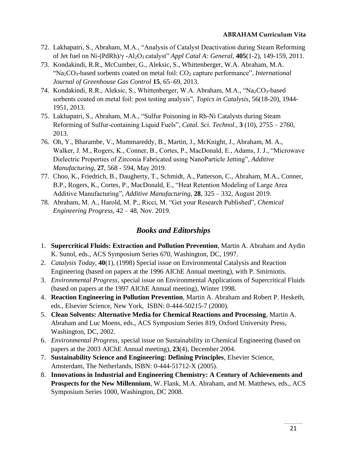- 72. Lakhapatri, S., Abraham, M.A., "Analysis of Catalyst Deactivation during Steam Reforming of Jet fuel on Ni-(PdRh)/γ -Al2O3 catalyst" *Appl Catal A: General*, **405**(1-2), 149-159, 2011.
- 73. Kondakindi, R.R., McCumber, G., Aleksic, S., Whittenberger, W.A. Abraham, M.A. "Na2CO3-based sorbents coated on metal foil: CO<sup>2</sup> capture performance", *International Journal of Greenhouse Gas Control* **15**, 65–69, 2013.
- 74. Kondakindi, R.R., Aleksic, S., Whittenberger, W.A. Abraham, M.A., "Na2CO3-based sorbents coated on metal foil: post testing analysis", *Topics in Catalysis*, 56(18-20), 1944- 1951, 2013.
- 75. Lakhapatri, S., Abraham, M.A., "Sulfur Poisoning in Rh-Ni Catalysts during Steam Reforming of Sulfur-containing Liquid Fuels", *Catal. Sci. Technol.,* **3** (10), 2755 – 2760, 2013.
- 76. Oh, Y., Bharambe, V., Mummareddy, B., Martin, J., McKnight, J., Abraham, M. A., Walker, J. M., Rogers, K., Conner, B., Cortes, P., MacDonald, E., Adams, J. J., "Microwave Dielectric Properties of Zirconia Fabricated using NanoParticle Jetting", *Additive Manufacturing*, **27**, 568 - 594, May 2019.
- 77. Choo, K., Friedrich, B., Daugherty, T., Schmidt, A., Patterson, C., Abraham, M.A., Conner, B.P., Rogers, K., Cortes, P., MacDonald, E., "Heat Retention Modeling of Large Area Additive Manufacturing", *Additive Manufacturing*, **28**, 325 – 332, August 2019.
- 78. Abraham, M. A., Harold, M. P., Ricci, M. "Get your Research Published", *Chemical Engineering Progress*, 42 – 48, Nov. 2019.

# *Books and Editorships*

- 1. **Supercritical Fluids: Extraction and Pollution Prevention**, Martin A. Abraham and Aydin K. Sunol, eds., ACS Symposium Series 670, Washington, DC, 1997.
- 2. *Catalysis Today*, **40**(1), (1998) Special issue on Environmental Catalysis and Reaction Engineering (based on papers at the 1996 AIChE Annual meeting), with P. Smirniotis.
- 3. *Environmental Progress*, special issue on Environmental Applications of Supercritical Fluids (based on papers at the 1997 AIChE Annual meeting), Winter 1998.
- 4. **Reaction Engineering in Pollution Prevention**, Martin A. Abraham and Robert P. Hesketh, eds., Elsevier Science, New York, ISBN: 0-444-50215-7 (2000).
- 5. **Clean Solvents: Alternative Media for Chemical Reactions and Processing**, Martin A. Abraham and Luc Moens, eds., ACS Symposium Series 819, Oxford University Press, Washington, DC, 2002.
- 6. *Environmental Progress*, special issue on Sustainability in Chemical Engineering (based on papers at the 2003 AIChE Annual meeting), **23**(4), December 2004.
- 7. **Sustainability Science and Engineering: Defining Principles**, Elsevier Science, Amsterdam, The Netherlands, ISBN: 0-444-51712-X (2005).
- 8. **Innovations in Industrial and Engineering Chemistry: A Century of Achievements and Prospects for the New Millennium**, W. Flank, M.A. Abraham, and M. Matthews, eds., ACS Symposium Series 1000, Washington, DC 2008.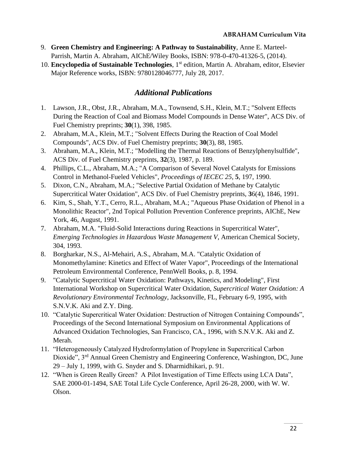- 9. **Green Chemistry and Engineering: A Pathway to Sustainability**, [Anne E. Marteel-](http://www.wiley.com/WileyCDA/Section/id-302475.html?query=Anne+E.+Marteel-Parrish)[Parrish,](http://www.wiley.com/WileyCDA/Section/id-302475.html?query=Anne+E.+Marteel-Parrish) [Martin A. Abraham,](http://www.wiley.com/WileyCDA/Section/id-302475.html?query=Martin+A.+Abraham) AIChE/Wiley Books, ISBN: 978-0-470-41326-5, (2014).
- 10. **Encyclopedia of Sustainable Technologies**, 1st edition, Martin A. Abraham, editor, Elsevier Major Reference works, ISBN: 9780128046777, July 28, 2017.

# *Additional Publications*

- 1. Lawson, J.R., Obst, J.R., Abraham, M.A., Townsend, S.H., Klein, M.T.; "Solvent Effects During the Reaction of Coal and Biomass Model Compounds in Dense Water", ACS Div. of Fuel Chemistry preprints; **30**(1), 398, 1985.
- 2. Abraham, M.A., Klein, M.T.; "Solvent Effects During the Reaction of Coal Model Compounds", ACS Div. of Fuel Chemistry preprints; **30**(3), 88, 1985.
- 3. Abraham, M.A., Klein, M.T.; "Modelling the Thermal Reactions of Benzylphenylsulfide", ACS Div. of Fuel Chemistry preprints, **32**(3), 1987, p. 189.
- 4. Phillips, C.L., Abraham, M.A.; "A Comparison of Several Novel Catalysts for Emissions Control in Methanol-Fueled Vehicles", *Proceedings of IECEC 25*, **5**, 197, 1990.
- 5. Dixon, C.N., Abraham, M.A.; "Selective Partial Oxidation of Methane by Catalytic Supercritical Water Oxidation", ACS Div. of Fuel Chemistry preprints, **3**6(4), 1846, 1991.
- 6. Kim, S., Shah, Y.T., Cerro, R.L., Abraham, M.A.; "Aqueous Phase Oxidation of Phenol in a Monolithic Reactor", 2nd Topical Pollution Prevention Conference preprints, AIChE, New York, 46, August, 1991.
- 7. Abraham, M.A. "Fluid-Solid Interactions during Reactions in Supercritical Water", *Emerging Technologies in Hazardous Waste Management V*, American Chemical Society, 304, 1993.
- 8. Borgharkar, N.S., Al-Mehairi, A.S., Abraham, M.A. "Catalytic Oxidation of Monomethylamine: Kinetics and Effect of Water Vapor", Proceedings of the International Petroleum Environmental Conference, PennWell Books, p. 8, 1994.
- 9. "Catalytic Supercritical Water Oxidation: Pathways, Kinetics, and Modeling", First International Workshop on Supercritical Water Oxidation, *Supercritical Water Oxidation: A Revolutionary Environmental Technology*, Jacksonville, FL, February 6-9, 1995, with S.N.V.K. Aki and Z.Y. Ding.
- 10. "Catalytic Supercritical Water Oxidation: Destruction of Nitrogen Containing Compounds", Proceedings of the Second International Symposium on Environmental Applications of Advanced Oxidation Technologies, San Francisco, CA., 1996, with S.N.V.K. Aki and Z. Merah.
- 11. "Heterogeneously Catalyzed Hydroformylation of Propylene in Supercritical Carbon Dioxide", 3<sup>rd</sup> Annual Green Chemistry and Engineering Conference, Washington, DC, June 29 – July 1, 1999, with G. Snyder and S. Dharmidhikari, p. 91.
- 12. "When is Green Really Green? A Pilot Investigation of Time Effects using LCA Data", SAE 2000-01-1494, SAE Total Life Cycle Conference, April 26-28, 2000, with W. W. Olson.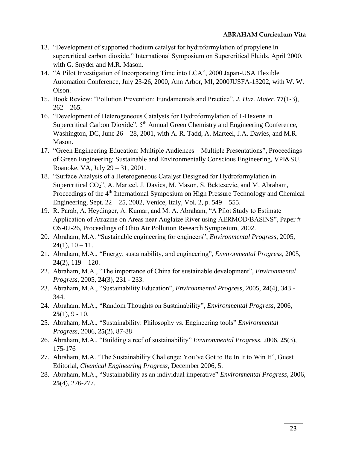- 13. "Development of supported rhodium catalyst for hydroformylation of propylene in supercritical carbon dioxide." International Symposium on Supercritical Fluids, April 2000, with G. Snyder and M.R. Mason.
- 14. "A Pilot Investigation of Incorporating Time into LCA", 2000 Japan-USA Flexible Automation Conference, July 23-26, 2000, Ann Arbor, MI, 2000JUSFA-13202, with W. W. Olson.
- 15. Book Review: "Pollution Prevention: Fundamentals and Practice", *J. Haz. Mater.* **77**(1-3),  $262 - 265.$
- 16. "Development of Heterogeneous Catalysts for Hydroformylation of 1-Hexene in Supercritical Carbon Dioxide",  $5<sup>th</sup>$  Annual Green Chemistry and Engineering Conference, Washington, DC, June 26 – 28, 2001, with A. R. Tadd, A. Marteel, J.A. Davies, and M.R. Mason.
- 17. "Green Engineering Education: Multiple Audiences Multiple Presentations", Proceedings of Green Engineering: Sustainable and Environmentally Conscious Engineering, VPI&SU, Roanoke, VA, July 29 – 31, 2001.
- 18. "Surface Analysis of a Heterogeneous Catalyst Designed for Hydroformylation in Supercritical CO<sub>2</sub>", A. Marteel, J. Davies, M. Mason, S. Bektesevic, and M. Abraham, Proceedings of the 4<sup>th</sup> International Symposium on High Pressure Technology and Chemical Engineering, Sept. 22 – 25, 2002, Venice, Italy, Vol. 2, p. 549 – 555.
- 19. R. Parab, A. Heydinger, A. Kumar, and M. A. Abraham, "A Pilot Study to Estimate Application of Atrazine on Areas near Auglaize River using AERMOD/BASINS", Paper # OS-02-26, Proceedings of Ohio Air Pollution Research Symposium, 2002.
- 20. Abraham, M.A. "Sustainable engineering for engineers", *Environmental Progress*, 2005, **24**(1),  $10 - 11$ .
- 21. Abraham, M.A., "Energy, sustainability, and engineering", *Environmental Progress*, 2005, **24**(2), 119 – 120.
- 22. Abraham, M.A., "The importance of China for sustainable development", *Environmental Progress*, 2005, **24**(3), 231 - 233.
- 23. Abraham, M.A., "Sustainability Education", *Environmental Progress*, 2005, **24**(4), 343 344.
- 24. Abraham, M.A., "Random Thoughts on Sustainability", *Environmental Progress*, 2006, **25**(1), 9 - 10.
- 25. Abraham, M.A., "Sustainability: Philosophy vs. Engineering tools" *Environmental Progress*, 2006, **25**(2), 87-88
- 26. Abraham, M.A., "Building a reef of sustainability" *Environmental Progress*, 2006, **25**(3), 175-176
- 27. Abraham, M.A. "The Sustainability Challenge: You've Got to Be In It to Win It", Guest Editorial, *Chemical Engineering Progress*, December 2006, 5.
- 28. Abraham, M.A., "Sustainability as an individual imperative" *Environmental Progress*, 2006, **25**(4), 276-277.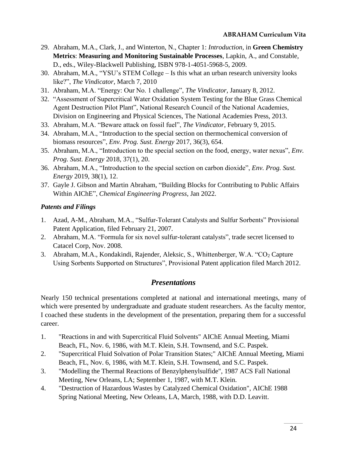- 29. Abraham, M.A., Clark, J., and Winterton, N., Chapter 1: *Introduction*, in **Green Chemistry Metrics**: **Measuring and Monitoring Sustainable Processes**, Lapkin, A., and Constable, D., eds., Wiley-Blackwell Publishing, ISBN 978-1-4051-5968-5, 2009.
- 30. Abraham, M.A., "YSU's STEM College Is this what an urban research university looks like?", *The Vindicator*, March 7, 2010
- 31. Abraham, M.A. "Energy: Our No. 1 challenge", *The Vindicator*, January 8, 2012.
- 32. "Assessment of Supercritical Water Oxidation System Testing for the Blue Grass Chemical Agent Destruction Pilot Plant", National Research Council of the National Academies, Division on Engineering and Physical Sciences, The National Academies Press, 2013.
- 33. Abraham, M.A. "Beware attack on fossil fuel", *The Vindicator*, February 9, 2015.
- 34. Abraham, M.A., ["Introduction to the special section on thermochemical conversion of](https://apps.webofknowledge.com/full_record.do?product=WOS&search_mode=GeneralSearch&qid=1&SID=1E9dit5opS1VX2yXh92&page=1&doc=1)  [biomass resources"](https://apps.webofknowledge.com/full_record.do?product=WOS&search_mode=GeneralSearch&qid=1&SID=1E9dit5opS1VX2yXh92&page=1&doc=1), *Env. Prog. Sust. Energy* 2017, 36(3), 654.
- 35. Abraham, M.A., "Introduction to the special section on the [food,](https://apps.webofknowledge.com/full_record.do?product=WOS&search_mode=GeneralSearch&qid=1&SID=1E9dit5opS1VX2yXh92&page=1&doc=1) energy, water nexus", *Env. Prog. Sust. Energy* 2018, 37(1), 20.
- 36. Abraham, M.A., "Introduction to the special section on carbon dioxide", *Env. Prog. Sust. Energy* 2019, 38(1), 12.
- 37. Gayle J. Gibson and Martin Abraham, "Building Blocks for Contributing to Public Affairs Within AIChE", *Chemical Engineering Progress*, Jan 2022.

## *Patents and Filings*

- 1. Azad, A-M., Abraham, M.A., "Sulfur-Tolerant Catalysts and Sulfur Sorbents" Provisional Patent Application, filed February 21, 2007.
- 2. Abraham, M.A. "Formula for six novel sulfur-tolerant catalysts", trade secret licensed to Catacel Corp, Nov. 2008.
- 3. Abraham, M.A., Kondakindi, Rajender, Aleksic, S., Whittenberger, W.A. "CO<sub>2</sub> Capture Using Sorbents Supported on Structures", Provisional Patent application filed March 2012.

# *Presentations*

Nearly 150 technical presentations completed at national and international meetings, many of which were presented by undergraduate and graduate student researchers. As the faculty mentor, I coached these students in the development of the presentation, preparing them for a successful career.

- 1. "Reactions in and with Supercritical Fluid Solvents" AIChE Annual Meeting, Miami Beach, FL, Nov. 6, 1986, with M.T. Klein, S.H. Townsend, and S.C. Paspek.
- 2. "Supercritical Fluid Solvation of Polar Transition States;" AIChE Annual Meeting, Miami Beach, FL, Nov. 6, 1986, with M.T. Klein, S.H. Townsend, and S.C. Paspek.
- 3. "Modelling the Thermal Reactions of Benzylphenylsulfide", 1987 ACS Fall National Meeting, New Orleans, LA; September 1, 1987, with M.T. Klein.
- 4. "Destruction of Hazardous Wastes by Catalyzed Chemical Oxidation", AIChE 1988 Spring National Meeting, New Orleans, LA, March, 1988, with D.D. Leavitt.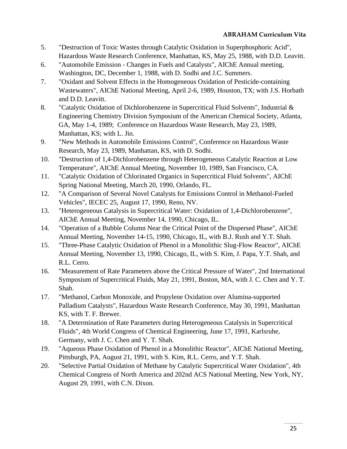- 5. "Destruction of Toxic Wastes through Catalytic Oxidation in Superphosphoric Acid", Hazardous Waste Research Conference, Manhattan, KS, May 25, 1988, with D.D. Leavitt.
- 6. "Automobile Emission Changes in Fuels and Catalysts", AIChE Annual meeting, Washington, DC, December 1, 1988, with D. Sodhi and J.C. Summers.
- 7. "Oxidant and Solvent Effects in the Homogeneous Oxidation of Pesticide-containing Wastewaters", AIChE National Meeting, April 2-6, 1989, Houston, TX; with J.S. Horbath and D.D. Leavitt.
- 8. "Catalytic Oxidation of Dichlorobenzene in Supercritical Fluid Solvents", Industrial & Engineering Chemistry Division Symposium of the American Chemical Society, Atlanta, GA, May 1-4, 1989; Conference on Hazardous Waste Research, May 23, 1989, Manhattan, KS; with L. Jin.
- 9. "New Methods in Automobile Emissions Control", Conference on Hazardous Waste Research, May 23, 1989, Manhattan, KS, with D. Sodhi.
- 10. "Destruction of 1,4-Dichlorobenzene through Heterogeneous Catalytic Reaction at Low Temperature", AIChE Annual Meeting, November 10, 1989, San Francisco, CA.
- 11. "Catalytic Oxidation of Chlorinated Organics in Supercritical Fluid Solvents", AIChE Spring National Meeting, March 20, 1990, Orlando, FL.
- 12. "A Comparison of Several Novel Catalysts for Emissions Control in Methanol-Fueled Vehicles", IECEC 25, August 17, 1990, Reno, NV.
- 13. "Heterogeneous Catalysis in Supercritical Water: Oxidation of 1,4-Dichlorobenzene", AIChE Annual Meeting, November 14, 1990, Chicago, IL.
- 14. "Operation of a Bubble Column Near the Critical Point of the Dispersed Phase", AIChE Annual Meeting, November 14-15, 1990, Chicago, IL, with B.J. Rush and Y.T. Shah.
- 15. "Three-Phase Catalytic Oxidation of Phenol in a Monolithic Slug-Flow Reactor", AIChE Annual Meeting, November 13, 1990, Chicago, IL, with S. Kim, J. Papa, Y.T. Shah, and R.L. Cerro.
- 16. "Measurement of Rate Parameters above the Critical Pressure of Water", 2nd International Symposium of Supercritical Fluids, May 21, 1991, Boston, MA, with J. C. Chen and Y. T. Shah.
- 17. "Methanol, Carbon Monoxide, and Propylene Oxidation over Alumina-supported Palladium Catalysts", Hazardous Waste Research Conference, May 30, 1991, Manhattan KS, with T. F. Brewer.
- 18. "A Determination of Rate Parameters during Heterogeneous Catalysis in Supercritical Fluids", 4th World Congress of Chemical Engineering, June 17, 1991, Karlsruhe, Germany, with J. C. Chen and Y. T. Shah.
- 19. "Aqueous Phase Oxidation of Phenol in a Monolithic Reactor", AIChE National Meeting, Pittsburgh, PA, August 21, 1991, with S. Kim, R.L. Cerro, and Y.T. Shah.
- 20. "Selective Partial Oxidation of Methane by Catalytic Supercritical Water Oxidation", 4th Chemical Congress of North America and 202nd ACS National Meeting, New York, NY, August 29, 1991, with C.N. Dixon.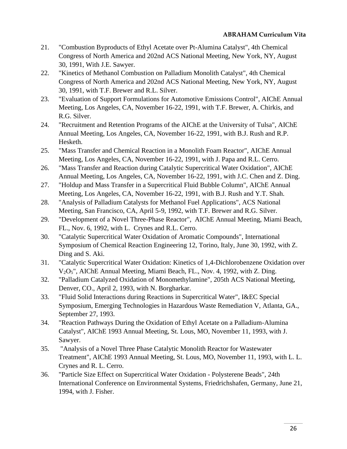- 21. "Combustion Byproducts of Ethyl Acetate over Pt-Alumina Catalyst", 4th Chemical Congress of North America and 202nd ACS National Meeting, New York, NY, August 30, 1991, With J.E. Sawyer.
- 22. "Kinetics of Methanol Combustion on Palladium Monolith Catalyst", 4th Chemical Congress of North America and 202nd ACS National Meeting, New York, NY, August 30, 1991, with T.F. Brewer and R.L. Silver.
- 23. "Evaluation of Support Formulations for Automotive Emissions Control", AIChE Annual Meeting, Los Angeles, CA, November 16-22, 1991, with T.F. Brewer, A. Chirkis, and R.G. Silver.
- 24. "Recruitment and Retention Programs of the AIChE at the University of Tulsa", AIChE Annual Meeting, Los Angeles, CA, November 16-22, 1991, with B.J. Rush and R.P. Hesketh.
- 25. "Mass Transfer and Chemical Reaction in a Monolith Foam Reactor", AIChE Annual Meeting, Los Angeles, CA, November 16-22, 1991, with J. Papa and R.L. Cerro.
- 26. "Mass Transfer and Reaction during Catalytic Supercritical Water Oxidation", AIChE Annual Meeting, Los Angeles, CA, November 16-22, 1991, with J.C. Chen and Z. Ding.
- 27. "Holdup and Mass Transfer in a Supercritical Fluid Bubble Column", AIChE Annual Meeting, Los Angeles, CA, November 16-22, 1991, with B.J. Rush and Y.T. Shah.
- 28. "Analysis of Palladium Catalysts for Methanol Fuel Applications", ACS National Meeting, San Francisco, CA, April 5-9, 1992, with T.F. Brewer and R.G. Silver.
- 29. "Development of a Novel Three-Phase Reactor", AIChE Annual Meeting, Miami Beach, FL., Nov. 6, 1992, with L. Crynes and R.L. Cerro.
- 30. "Catalytic Supercritical Water Oxidation of Aromatic Compounds", International Symposium of Chemical Reaction Engineering 12, Torino, Italy, June 30, 1992, with Z. Ding and S. Aki.
- 31. "Catalytic Supercritical Water Oxidation: Kinetics of 1,4-Dichlorobenzene Oxidation over V2O5", AIChE Annual Meeting, Miami Beach, FL., Nov. 4, 1992, with Z. Ding.
- 32. "Palladium Catalyzed Oxidation of Monomethylamine", 205th ACS National Meeting, Denver, CO., April 2, 1993, with N. Borgharkar.
- 33. "Fluid Solid Interactions during Reactions in Supercritical Water", I&EC Special Symposium, Emerging Technologies in Hazardous Waste Remediation V, Atlanta, GA., September 27, 1993.
- 34. "Reaction Pathways During the Oxidation of Ethyl Acetate on a Palladium-Alumina Catalyst", AIChE 1993 Annual Meeting, St. Lous, MO, November 11, 1993, with J. Sawyer.
- 35. "Analysis of a Novel Three Phase Catalytic Monolith Reactor for Wastewater Treatment", AIChE 1993 Annual Meeting, St. Lous, MO, November 11, 1993, with L. L. Crynes and R. L. Cerro.
- 36. "Particle Size Effect on Supercritical Water Oxidation Polysterene Beads", 24th International Conference on Environmental Systems, Friedrichshafen, Germany, June 21, 1994, with J. Fisher.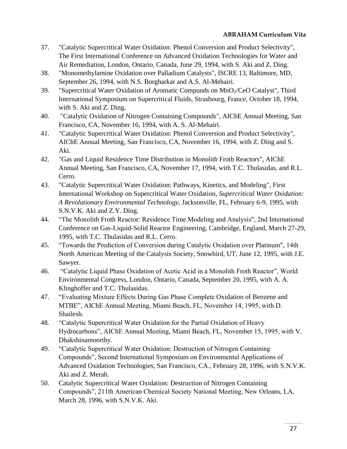- 37. "Catalytic Supercritical Water Oxidation: Phenol Conversion and Product Selectivity", The First International Conference on Advanced Oxidation Technologies for Water and Air Remediation, London, Ontario, Canada, June 29, 1994, with S. Aki and Z. Ding.
- 38. "Monomethylamine Oxidation over Palladium Catalysts", ISCRE 13, Baltimore, MD, September 26, 1994, with N.S. Borgharkar and A.S. Al-Mehairi.
- 39. "Supercritical Water Oxidation of Aromatic Compunds on MnO<sub>2</sub>/CeO Catalyst", Third International Symposium on Supercritical Fluids, Strasbourg, France, October 18, 1994, with S. Aki and Z. Ding.
- 40. "Catalytic Oxidation of Nitrogen Containing Compounds", AIChE Annual Meeting, San Francisco, CA, November 16, 1994, with A. S. Al-Mehairi.
- 41. "Catalytic Supercritical Water Oxidation: Phenol Conversion and Product Selectivity", AIChE Annual Meeting, San Francisco, CA, November 16, 1994, with Z. Ding and S. Aki.
- 42. "Gas and Liquid Residence Time Distribution in Monolith Froth Reactors", AIChE Annual Meeting, San Francisco, CA, November 17, 1994, with T.C. Thulasidas, and R.L. Cerro.
- 43. "Catalytic Supercritical Water Oxidation: Pathways, Kinetics, and Modeling", First International Workshop on Supercritical Water Oxidation, *Supercritical Water Oxidation: A Revolutionary Environmental Technology*, Jacksonville, FL, February 6-9, 1995, with S.N.V.K. Aki and Z.Y. Ding.
- 44. "The Monolith Froth Reactor: Residence Time Modeling and Analysis", 2nd International Conference on Gas-Liquid-Solid Reactor Engineering, Cambridge, England, March 27-29, 1995, with T.C. Thulasidas and R.L. Cerro.
- 45. "Towards the Prediction of Conversion during Catalytic Oxidation over Platinum", 14th North American Meeting of the Catalysis Society, Snowbird, UT, June 12, 1995, with J.E. Sawyer.
- 46. "Catalytic Liquid Phase Oxidation of Acetic Acid in a Monolith Froth Reactor", World Environmental Congress, London, Ontario, Canada, September 20, 1995, with A. A. Klinghoffer and T.C. Thulasidas.
- 47. "Evaluating Mixture Effects During Gas Phase Complete Oxidation of Benzene and MTBE", AIChE Annual Meeting, Miami Beach, FL, November 14, 1995, with D. Shailesh.
- 48. "Catalytic Supercritical Water Oxidation for the Partial Oxidation of Heavy Hydrocarbons", AIChE Annual Meeting, Miami Beach, FL, November 15, 1995, with V. Dhakshinamoorthy.
- 49. "Catalytic Supercritical Water Oxidation: Destruction of Nitrogen Containing Compounds", Second International Symposium on Environmental Applications of Advanced Oxidation Technologies, San Francisco, CA., February 28, 1996, with S.N.V.K. Aki and Z. Merah.
- 50. Catalytic Supercritical Water Oxidation: Destruction of Nitrogen Containing Compounds", 211th American Chemical Society National Meeting, New Orleans, LA, March 28, 1996, with S.N.V.K. Aki.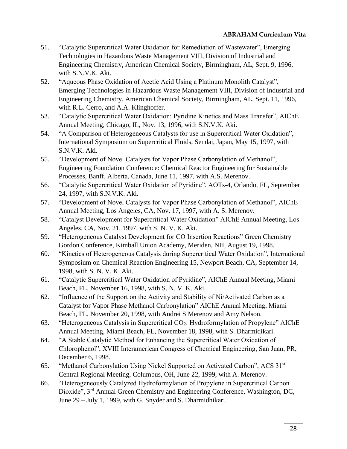- 51. "Catalytic Supercritical Water Oxidation for Remediation of Wastewater", Emerging Technologies in Hazardous Waste Management VIII, Division of Industrial and Engineering Chemistry, American Chemical Society, Birmingham, AL, Sept. 9, 1996, with S.N.V.K. Aki.
- 52. "Aqueous Phase Oxidation of Acetic Acid Using a Platinum Monolith Catalyst", Emerging Technologies in Hazardous Waste Management VIII, Division of Industrial and Engineering Chemistry, American Chemical Society, Birmingham, AL, Sept. 11, 1996, with R.L. Cerro, and A.A. Klinghoffer.
- 53. "Catalytic Supercritical Water Oxidation: Pyridine Kinetics and Mass Transfer", AIChE Annual Meeting, Chicago, IL, Nov. 13, 1996, with S.N.V.K. Aki.
- 54. "A Comparison of Heterogeneous Catalysts for use in Supercritical Water Oxidation", International Symposium on Supercritical Fluids, Sendai, Japan, May 15, 1997, with S.N.V.K. Aki.
- 55. "Development of Novel Catalysts for Vapor Phase Carbonylation of Methanol", Engineering Foundation Conference: Chemical Reactor Engineering for Sustainable Processes, Banff, Alberta, Canada, June 11, 1997, with A.S. Merenov.
- 56. "Catalytic Supercritical Water Oxidation of Pyridine", AOTs-4, Orlando, FL, September 24, 1997, with S.N.V.K. Aki.
- 57. "Development of Novel Catalysts for Vapor Phase Carbonylation of Methanol", AIChE Annual Meeting, Los Angeles, CA, Nov. 17, 1997, with A. S. Merenov.
- 58. "Catalyst Development for Supercritical Water Oxidation" AIChE Annual Meeting, Los Angeles, CA, Nov. 21, 1997, with S. N. V. K. Aki.
- 59. "Heterogeneous Catalyst Development for CO Insertion Reactions" Green Chemistry Gordon Conference, Kimball Union Academy, Meriden, NH, August 19, 1998.
- 60. "Kinetics of Heterogeneous Catalysis during Supercritical Water Oxidation", International Symposium on Chemical Reaction Engineering 15, Newport Beach, CA, September 14, 1998, with S. N. V. K. Aki.
- 61. "Catalytic Supercritical Water Oxidation of Pyridine", AIChE Annual Meeting, Miami Beach, FL, November 16, 1998, with S. N. V. K. Aki.
- 62. "Influence of the Support on the Activity and Stability of Ni/Activated Carbon as a Catalyst for Vapor Phase Methanol Carbonylation" AIChE Annual Meeting, Miami Beach, FL, November 20, 1998, with Andrei S Merenov and Amy Nelson.
- 63. "Heterogeneous Catalysis in Supercritical CO2: Hydroformylation of Propylene" AIChE Annual Meeting, Miami Beach, FL, November 18, 1998, with S. Dharmidikari.
- 64. "A Stable Catalytic Method for Enhancing the Supercritical Water Oxidation of Chlorophenol", XVIII Interamerican Congress of Chemical Engineering, San Juan, PR, December 6, 1998.
- 65. "Methanol Carbonylation Using Nickel Supported on Activated Carbon", ACS 31st Central Regional Meeting, Columbus, OH, June 22, 1999, with A. Merenov.
- 66. "Heterogeneously Catalyzed Hydroformylation of Propylene in Supercritical Carbon Dioxide", 3rd Annual Green Chemistry and Engineering Conference, Washington, DC, June 29 – July 1, 1999, with G. Snyder and S. Dharmidhikari.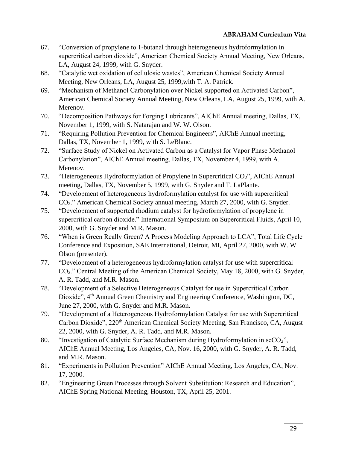- 67. "Conversion of propylene to 1-butanal through heterogeneous hydroformylation in supercritical carbon dioxide", American Chemical Society Annual Meeting, New Orleans, LA, August 24, 1999, with G. Snyder.
- 68. "Catalytic wet oxidation of cellulosic wastes", American Chemical Society Annual Meeting, New Orleans, LA, August 25, 1999,with T. A. Patrick.
- 69. "Mechanism of Methanol Carbonylation over Nickel supported on Activated Carbon", American Chemical Society Annual Meeting, New Orleans, LA, August 25, 1999, with A. Merenov.
- 70. "Decomposition Pathways for Forging Lubricants", AIChE Annual meeting, Dallas, TX, November 1, 1999, with S. Natarajan and W. W. Olson.
- 71. "Requiring Pollution Prevention for Chemical Engineers", AIChE Annual meeting, Dallas, TX, November 1, 1999, with S. LeBlanc.
- 72. "Surface Study of Nickel on Activated Carbon as a Catalyst for Vapor Phase Methanol Carbonylation", AIChE Annual meeting, Dallas, TX, November 4, 1999, with A. Merenov.
- 73. "Heterogeneous Hydroformylation of Propylene in Supercritical CO<sub>2</sub>", AIChE Annual meeting, Dallas, TX, November 5, 1999, with G. Snyder and T. LaPlante.
- 74. "Development of heterogeneous hydroformylation catalyst for use with supercritical CO2." American Chemical Society annual meeting, March 27, 2000, with G. Snyder.
- 75. "Development of supported rhodium catalyst for hydroformylation of propylene in supercritical carbon dioxide." International Symposium on Supercritical Fluids, April 10, 2000, with G. Snyder and M.R. Mason.
- 76. "When is Green Really Green? A Process Modeling Approach to LCA", Total Life Cycle Conference and Exposition, SAE International, Detroit, MI, April 27, 2000, with W. W. Olson (presenter).
- 77. "Development of a heterogeneous hydroformylation catalyst for use with supercritical CO2." Central Meeting of the American Chemical Society, May 18, 2000, with G. Snyder, A. R. Tadd, and M.R. Mason.
- 78. "Development of a Selective Heterogeneous Catalyst for use in Supercritical Carbon Dioxide", 4<sup>th</sup> Annual Green Chemistry and Engineering Conference, Washington, DC, June 27, 2000, with G. Snyder and M.R. Mason.
- 79. "Development of a Heterogeneous Hydroformylation Catalyst for use with Supercritical Carbon Dioxide", 220<sup>th</sup> American Chemical Society Meeting, San Francisco, CA, August 22, 2000, with G. Snyder, A. R. Tadd, and M.R. Mason.
- 80. "Investigation of Catalytic Surface Mechanism during Hydroformylation in scCO<sub>2</sub>", AIChE Annual Meeting, Los Angeles, CA, Nov. 16, 2000, with G. Snyder, A. R. Tadd, and M.R. Mason.
- 81. "Experiments in Pollution Prevention" AIChE Annual Meeting, Los Angeles, CA, Nov. 17, 2000.
- 82. "Engineering Green Processes through Solvent Substitution: Research and Education", AIChE Spring National Meeting, Houston, TX, April 25, 2001.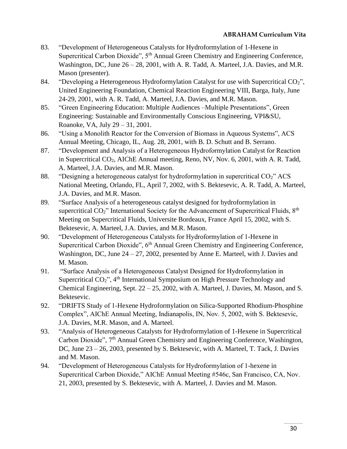- 83. "Development of Heterogeneous Catalysts for Hydroformylation of 1-Hexene in Supercritical Carbon Dioxide",  $5<sup>th</sup>$  Annual Green Chemistry and Engineering Conference, Washington, DC, June 26 – 28, 2001, with A. R. Tadd, A. Marteel, J.A. Davies, and M.R. Mason (presenter).
- 84. "Developing a Heterogeneous Hydroformylation Catalyst for use with Supercritical CO<sub>2</sub>", United Engineering Foundation, Chemical Reaction Engineering VIII, Barga, Italy, June 24-29, 2001, with A. R. Tadd, A. Marteel, J.A. Davies, and M.R. Mason.
- 85. "Green Engineering Education: Multiple Audiences –Multiple Presentations", Green Engineering: Sustainable and Environmentally Conscious Engineering, VPI&SU, Roanoke, VA, July 29 – 31, 2001.
- 86. "Using a Monolith Reactor for the Conversion of Biomass in Aqueous Systems", ACS Annual Meeting, Chicago, IL, Aug. 28, 2001, with B. D. Schutt and B. Serrano.
- 87. "Development and Analysis of a Heterogeneous Hydroformylation Catalyst for Reaction in Supercritical CO2, AIChE Annual meeting, Reno, NV, Nov. 6, 2001, with A. R. Tadd, A. Marteel, J.A. Davies, and M.R. Mason.
- 88. "Designing a heterogeneous catalyst for hydroformylation in supercritical  $CO<sub>2</sub>$ " ACS National Meeting, Orlando, FL, April 7, 2002, with S. Bektesevic, A. R. Tadd, A. Marteel, J.A. Davies, and M.R. Mason.
- 89. "Surface Analysis of a heterogeneous catalyst designed for hydroformylation in supercritical CO<sub>2</sub>" International Society for the Advancement of Supercritical Fluids, 8<sup>th</sup> Meeting on Supercritical Fluids, Universite Bordeaux, France April 15, 2002, with S. Bektesevic, A. Marteel, J.A. Davies, and M.R. Mason.
- 90. "Development of Heterogeneous Catalysts for Hydroformylation of 1-Hexene in Supercritical Carbon Dioxide", 6<sup>th</sup> Annual Green Chemistry and Engineering Conference, Washington, DC, June 24 – 27, 2002, presented by Anne E. Marteel, with J. Davies and M. Mason.
- 91. "Surface Analysis of a Heterogeneous Catalyst Designed for Hydroformylation in Supercritical CO<sub>2</sub>", 4<sup>th</sup> International Symposium on High Pressure Technology and Chemical Engineering, Sept. 22 – 25, 2002, with A. Marteel, J. Davies, M. Mason, and S. Bektesevic.
- 92. "DRIFTS Study of 1-Hexene Hydroformylation on Silica-Supported Rhodium-Phosphine Complex", AIChE Annual Meeting, Indianapolis, IN, Nov. 5, 2002, with S. Bektesevic, J.A. Davies, M.R. Mason, and A. Marteel.
- 93. "Analysis of Heterogeneous Catalysts for Hydroformylation of 1-Hexene in Supercritical Carbon Dioxide", 7<sup>th</sup> Annual Green Chemistry and Engineering Conference, Washington, DC, June 23 – 26, 2003, presented by S. Bektesevic, with A. Marteel, T. Tack, J. Davies and M. Mason.
- 94. "Development of Heterogeneous Catalysts for Hydroformylation of 1-hexene in Supercritical Carbon Dioxide," AIChE Annual Meeting #546c, San Francisco, CA, Nov. 21, 2003, presented by S. Bektesevic, with A. Marteel, J. Davies and M. Mason.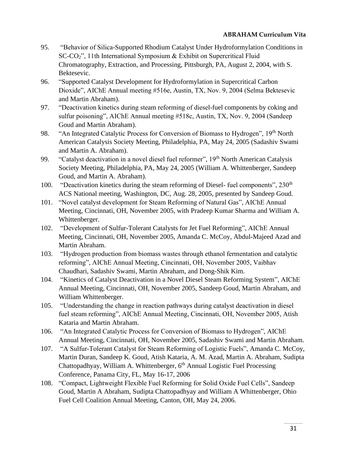- 95. "Behavior of Silica-Supported Rhodium Catalyst Under Hydroformylation Conditions in SC-CO2", 11th International Symposium & Exhibit on Supercritical Fluid Chromatography, Extraction, and Processing, Pittsburgh, PA, August 2, 2004, with S. Bektesevic.
- 96. "Supported Catalyst Development for Hydroformylation in Supercritical Carbon Dioxide", AIChE Annual meeting #516e, Austin, TX, Nov. 9, 2004 (Selma Bektesevic and Martin Abraham).
- 97. "Deactivation kinetics during steam reforming of diesel-fuel components by coking and sulfur poisoning", AIChE Annual meeting #518c, Austin, TX, Nov. 9, 2004 (Sandeep Goud and Martin Abraham).
- 98. "An Integrated Catalytic Process for Conversion of Biomass to Hydrogen", 19<sup>th</sup> North American Catalysis Society Meeting, Philadelphia, PA, May 24, 2005 (Sadashiv Swami and Martin A. Abraham).
- 99. "Catalyst deactivation in a novel diesel fuel reformer", 19<sup>th</sup> North American Catalysis Society Meeting, Philadelphia, PA, May 24, 2005 (William A. Whittenberger, Sandeep Goud, and Martin A. Abraham).
- 100. "Deactivation kinetics during the steam reforming of Diesel- fuel components",  $230<sup>th</sup>$ ACS National meeting, Washington, DC, Aug. 28, 2005, presented by Sandeep Goud.
- 101. "Novel catalyst development for Steam Reforming of Natural Gas", AIChE Annual Meeting, Cincinnati, OH, November 2005, with Pradeep Kumar Sharma and William A. Whittenberger.
- 102. "Development of Sulfur-Tolerant Catalysts for Jet Fuel Reforming", AIChE Annual Meeting, Cincinnati, OH, November 2005, [Amanda C. McCoy,](mailto:amccoy@eng.utoledo.edu) Abdul-Majeed Azad and Martin Abraham.
- 103. "Hydrogen production from biomass wastes through ethanol fermentation and catalytic reforming", AIChE Annual Meeting, Cincinnati, OH, November 2005, Vaibhav Chaudhari, Sadashiv Swami, Martin Abraham, and Dong-Shik Kim.
- 104. ["Kinetics of Catalyst Deactivation in a Novel Diesel Steam Reforming System"](javascript:var%20myWindow=window.open(), AIChE Annual Meeting, Cincinnati, OH, November 2005, Sandeep Goud, Martin Abraham, and William Whittenberger.
- 105. "Understanding the change in reaction pathways during catalyst deactivation in diesel fuel steam reforming", AIChE Annual Meeting, Cincinnati, OH, November 2005, Atish Kataria and Martin Abraham.
- 106. "An Integrated Catalytic Process for Conversion of Biomass to Hydrogen", AIChE Annual Meeting, Cincinnati, OH, November 2005, Sadashiv Swami and Martin Abraham.
- 107. "A Sulfur-Tolerant Catalyst for Steam Reforming of Logistic Fuels", Amanda C. McCoy, Martin Duran, Sandeep K. Goud, Atish Kataria, A. M. Azad, Martin A. Abraham, Sudipta Chattopadhyay, William A. Whittenberger, 6<sup>th</sup> Annual Logistic Fuel Processing Conference, Panama City, FL, May 16-17, 2006
- 108. "Compact, Lightweight Flexible Fuel Reforming for Solid Oxide Fuel Cells", Sandeep Goud, Martin A Abraham, Sudipta Chattopadhyay and William A Whittenberger, Ohio Fuel Cell Coalition Annual Meeting, Canton, OH, May 24, 2006.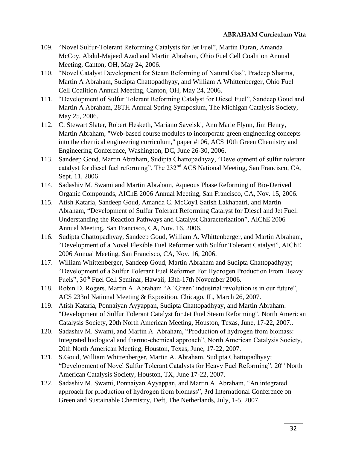- 109. "Novel Sulfur-Tolerant Reforming Catalysts for Jet Fuel", Martin Duran, Amanda McCoy, Abdul-Majeed Azad and Martin Abraham, Ohio Fuel Cell Coalition Annual Meeting, Canton, OH, May 24, 2006.
- 110. "Novel Catalyst Development for Steam Reforming of Natural Gas", Pradeep Sharma, Martin A Abraham*,* Sudipta Chattopadhyay, and William A Whittenberger, Ohio Fuel Cell Coalition Annual Meeting, Canton, OH, May 24, 2006.
- 111. "Development of Sulfur Tolerant Reforming Catalyst for Diesel Fuel", Sandeep Goud and Martin A Abraham, 28TH Annual Spring Symposium, The Michigan Catalysis Society, May 25, 2006.
- 112. C. Stewart Slater, Robert Hesketh, Mariano Savelski, Ann Marie Flynn, Jim Henry, Martin Abraham, "Web-based course modules to incorporate green engineering concepts into the chemical engineering curriculum," paper #106, ACS 10th Green Chemistry and Engineering Conference, Washington, DC, June 26-30, 2006.
- 113. Sandeep Goud, Martin Abraham, Sudipta Chattopadhyay, "Development of sulfur tolerant catalyst for diesel fuel reforming", The 232nd ACS National Meeting, San Francisco, CA, Sept. 11, 2006
- 114. Sadashiv M. Swami and Martin Abraham, Aqueous Phase Reforming of Bio-Derived Organic Compounds, AIChE 2006 Annual Meeting, San Francisco, CA, Nov. 15, 2006.
- 115. Atish Kataria, Sandeep Goud, Amanda C. McCoy1 Satish Lakhapatri, and Martin Abraham, "Development of Sulfur Tolerant Reforming Catalyst for Diesel and Jet Fuel: Understanding the Reaction Pathways and Catalyst Characterization", AIChE 2006 Annual Meeting, San Francisco, CA, Nov. 16, 2006.
- 116. Sudipta Chattopadhyay, Sandeep Goud, William A. Whittenberger, and Martin Abraham, "Development of a Novel Flexible Fuel Reformer with Sulfur Tolerant Catalyst", AIChE 2006 Annual Meeting, San Francisco, CA, Nov. 16, 2006.
- 117. William Whittenberger, Sandeep Goud, Martin Abraham and Sudipta Chattopadhyay; "Development of a Sulfur Tolerant Fuel Reformer For Hydrogen Production From Heavy Fuels", 30<sup>th</sup> Fuel Cell Seminar, Hawaii, 13th-17th November 2006.
- 118. Robin D. Rogers, Martin A. Abraham "A 'Green' industrial revolution is in our future", ACS 233rd National Meeting & Exposition, Chicago, IL, March 26, 2007.
- 119. Atish Kataria, Ponnaiyan Ayyappan, Sudipta Chattopadhyay, and Martin Abraham. "Development of Sulfur Tolerant Catalyst for Jet Fuel Steam Reforming", North American Catalysis Society, 20th North American Meeting, Houston, Texas, June, 17-22, 2007..
- 120. Sadashiv M. Swami, and Martin A. Abraham, "Production of hydrogen from biomass: Integrated biological and thermo-chemical approach", North American Catalysis Society, 20th North American Meeting, Houston, Texas, June, 17-22, 2007.
- 121. S.Goud, William Whittenberger, Martin A. Abraham, Sudipta Chattopadhyay; "Development of Novel Sulfur Tolerant Catalysts for Heavy Fuel Reforming", 20<sup>th</sup> North American Catalysis Society, Houston, TX, June 17-22, 2007.
- 122. Sadashiv M. Swami, Ponnaiyan Ayyappan, and Martin A. Abraham, "An integrated approach for production of hydrogen from biomass", 3rd International Conference on Green and Sustainable Chemistry, Deft, The Netherlands, July, 1-5, 2007.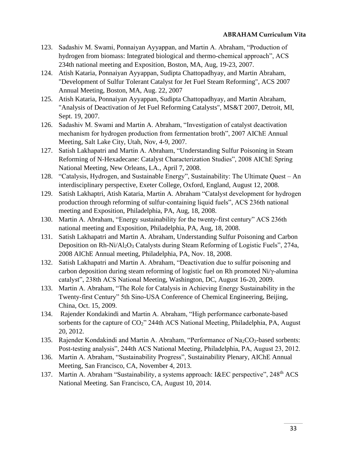- 123. Sadashiv M. Swami, Ponnaiyan Ayyappan, and Martin A. Abraham, "Production of hydrogen from biomass: Integrated biological and thermo-chemical approach", ACS 234th national meeting and Exposition, Boston, MA, Aug, 19-23, 2007.
- 124. Atish Kataria, Ponnaiyan Ayyappan, Sudipta Chattopadhyay, and Martin Abraham, "Development of Sulfur Tolerant Catalyst for Jet Fuel Steam Reforming", ACS 2007 Annual Meeting, Boston, MA, Aug. 22, 2007
- 125. Atish Kataria, Ponnaiyan Ayyappan, Sudipta Chattopadhyay, and Martin Abraham, "Analysis of Deactivation of Jet Fuel Reforming Catalysts", MS&T 2007, Detroit, MI, Sept. 19, 2007.
- 126. Sadashiv M. Swami and Martin A. Abraham, "Investigation of catalyst deactivation mechanism for hydrogen production from fermentation broth", 2007 AIChE Annual Meeting, Salt Lake City, Utah, Nov, 4-9, 2007.
- 127. Satish Lakhapatri and Martin A. Abraham, "Understanding Sulfur Poisoning in Steam Reforming of N-Hexadecane: Catalyst Characterization Studies", 2008 AIChE Spring National Meeting, New Orleans, LA., April 7, 2008.
- 128. "Catalysis, Hydrogen, and Sustainable Energy", Sustainability: The Ultimate Quest An interdisciplinary perspective, Exeter College, Oxford, England, August 12, 2008.
- 129. Satish Lakhaptri, Atish Kataria, Martin A. Abraham "Catalyst development for hydrogen production through reforming of sulfur-containing liquid fuels", ACS 236th national meeting and Exposition, Philadelphia, PA, Aug, 18, 2008.
- 130. Martin A. Abraham, "Energy sustainability for the twenty-first century" ACS 236th national meeting and Exposition, Philadelphia, PA, Aug, 18, 2008.
- 131. Satish Lakhapatri and Martin A. Abraham, Understanding Sulfur Poisoning and Carbon Deposition on Rh-Ni/Al<sub>2</sub>O<sub>3</sub> Catalysts during Steam Reforming of Logistic Fuels", 274a, 2008 AIChE Annual meeting, Philadelphia, PA, Nov. 18, 2008.
- 132. Satish Lakhapatri and Martin A. Abraham, "Deactivation due to sulfur poisoning and carbon deposition during steam reforming of logistic fuel on Rh promoted Ni/γ-alumina catalyst", 238th ACS National Meeting, Washington, DC, August 16-20, 2009.
- 133. Martin A. Abraham, "The Role for Catalysis in Achieving Energy Sustainability in the Twenty-first Century" 5th Sino-USA Conference of Chemical Engineering, Beijing, China, Oct. 15, 2009.
- 134. Rajender Kondakindi and Martin A. Abraham, "High performance carbonate-based sorbents for the capture of  $CO<sub>2</sub>$ " 244th ACS National Meeting, Philadelphia, PA, August 20, 2012.
- 135. Rajender Kondakindi and Martin A. Abraham, "Performance of Na<sub>2</sub>CO<sub>3</sub>-based sorbents: Post-testing analysis", 244th ACS National Meeting, Philadelphia, PA, August 23, 2012.
- 136. Martin A. Abraham, "Sustainability Progress", Sustainability Plenary, AIChE Annual Meeting, San Francisco, CA, November 4, 2013.
- 137. Martin A. Abraham "Sustainability, a systems approach: I&EC perspective", 248<sup>th</sup> ACS National Meeting. San Francisco, CA, August 10, 2014.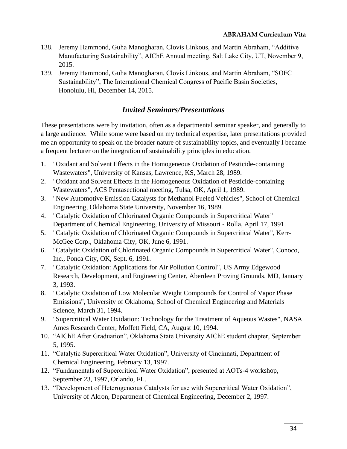- 138. Jeremy Hammond, Guha Manogharan, Clovis Linkous, and Martin Abraham, "Additive Manufacturing Sustainability", AIChE Annual meeting, Salt Lake City, UT, November 9, 2015.
- 139. Jeremy Hammond, Guha Manogharan, Clovis Linkous, and Martin Abraham, "SOFC Sustainability", The International Chemical Congress of Pacific Basin Societies, Honolulu, HI, December 14, 2015.

# *Invited Seminars/Presentations*

These presentations were by invitation, often as a departmental seminar speaker, and generally to a large audience. While some were based on my technical expertise, later presentations provided me an opportunity to speak on the broader nature of sustainability topics, and eventually I became a frequent lecturer on the integration of sustainability principles in education.

- 1. "Oxidant and Solvent Effects in the Homogeneous Oxidation of Pesticide-containing Wastewaters", University of Kansas, Lawrence, KS, March 28, 1989.
- 2. "Oxidant and Solvent Effects in the Homogeneous Oxidation of Pesticide-containing Wastewaters", ACS Pentasectional meeting, Tulsa, OK, April 1, 1989.
- 3. "New Automotive Emission Catalysts for Methanol Fueled Vehicles", School of Chemical Engineering, Oklahoma State University, November 16, 1989.
- 4. "Catalytic Oxidation of Chlorinated Organic Compounds in Supercritical Water" Department of Chemical Engineering, University of Missouri - Rolla, April 17, 1991.
- 5. "Catalytic Oxidation of Chlorinated Organic Compounds in Supercritical Water", Kerr-McGee Corp., Oklahoma City, OK, June 6, 1991.
- 6. "Catalytic Oxidation of Chlorinated Organic Compounds in Supercritical Water", Conoco, Inc., Ponca City, OK, Sept. 6, 1991.
- 7. "Catalytic Oxidation: Applications for Air Pollution Control", US Army Edgewood Research, Development, and Engineering Center, Aberdeen Proving Grounds, MD, January 3, 1993.
- 8. "Catalytic Oxidation of Low Molecular Weight Compounds for Control of Vapor Phase Emissions", University of Oklahoma, School of Chemical Engineering and Materials Science, March 31, 1994.
- 9. "Supercritical Water Oxidation: Technology for the Treatment of Aqueous Wastes", NASA Ames Research Center, Moffett Field, CA, August 10, 1994.
- 10. "AIChE After Graduation", Oklahoma State University AIChE student chapter, September 5, 1995.
- 11. "Catalytic Supercritical Water Oxidation", University of Cincinnati, Department of Chemical Engineering, February 13, 1997.
- 12. "Fundamentals of Supercritical Water Oxidation", presented at AOTs-4 workshop, September 23, 1997, Orlando, FL.
- 13. "Development of Heterogeneous Catalysts for use with Supercritical Water Oxidation", University of Akron, Department of Chemical Engineering, December 2, 1997.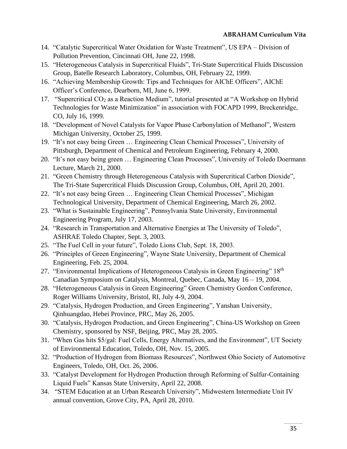- 14. "Catalytic Supercritical Water Oxidation for Waste Treatment", US EPA Division of Pollution Prevention, Cincinnati OH, June 22, 1998.
- 15. "Heterogeneous Catalysis in Supercritical Fluids", Tri-State Supercritical Fluids Discussion Group, Batelle Research Laboratory, Columbus, OH, February 22, 1999.
- 16. "Achieving Membership Growth: Tips and Techniques for AIChE Officers", AIChE Officer's Conference, Dearborn, MI, June 6, 1999.
- 17. "Supercritical CO<sub>2</sub> as a Reaction Medium", tutorial presented at "A Workshop on Hybrid Technologies for Waste Minimization" in association with FOCAPD 1999, Breckenridge, CO, July 16, 1999.
- 18. "Development of Novel Catalysts for Vapor Phase Carbonylation of Methanol", Western Michigan University, October 25, 1999.
- 19. "It's not easy being Green … Engineering Clean Chemical Processes", University of Pittsburgh, Department of Chemical and Petroleum Engineering, February 4, 2000.
- 20. "It's not easy being green … Engineering Clean Processes", University of Toledo Doermann Lecture, March 21, 2000.
- 21. "Green Chemistry through Heterogeneous Catalysis with Supercritical Carbon Dioxide", The Tri-State Supercritical Fluids Discussion Group, Columbus, OH, April 20, 2001.
- 22. "It's not easy being Green … Engineering Clean Chemical Processes", Michigan Technological University, Department of Chemical Engineering, March 26, 2002.
- 23. "What is Sustainable Engineering", Pennsylvania State University, Environmental Engineering Program, July 17, 2003.
- 24. "Research in Transportation and Alternative Energies at The University of Toledo", ASHRAE Toledo Chapter, Sept. 3, 2003.
- 25. "The Fuel Cell in your future", Toledo Lions Club, Sept. 18, 2003.
- 26. "Principles of Green Engineering", Wayne State University, Department of Chemical Engineering, Feb. 25, 2004.
- 27. "Environmental Implications of Heterogeneous Catalysis in Green Engineering" 18<sup>th</sup> Canadian Symposium on Catalysis, Montreal, Quebec, Canada, May 16 – 19, 2004.
- 28. "Heterogeneous Catalysis in Green Engineering" Green Chemistry Gordon Conference, Roger Williams University, Bristol, RI, July 4-9, 2004.
- 29. "Catalysis, Hydrogen Production, and Green Engineering", Yanshan University, Qinhuangdao, Hebei Province, PRC, May 26, 2005.
- 30. "Catalysis, Hydrogen Production, and Green Engineering", China-US Workshop on Green Chemistry, sponsored by NSF, Beijing, PRC, May 28, 2005.
- 31. "When Gas hits \$5/gal: Fuel Cells, Energy Alternatives, and the Environment", UT Society of Environmental Education, Toledo, OH, Nov. 15, 2005.
- 32. "Production of Hydrogen from Biomass Resources", Northwest Ohio Society of Automotive Engineers, Toledo, OH, Oct. 26, 2006.
- 33. "Catalyst Development for Hydrogen Production through Reforming of Sulfur-Containing Liquid Fuels" Kansas State University, April 22, 2008.
- 34. "STEM Education at an Urban Research University", Midwestern Intermediate Unit IV annual convention, Grove City, PA, April 28, 2010.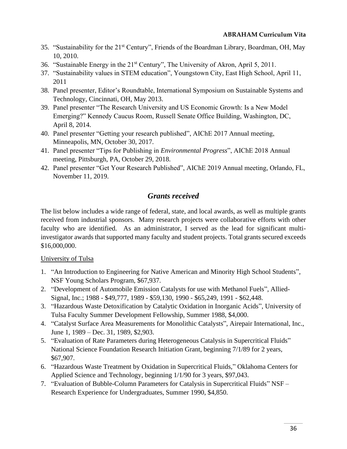- 35. "Sustainability for the 21<sup>st</sup> Century", Friends of the Boardman Library, Boardman, OH, May 10, 2010.
- 36. "Sustainable Energy in the 21st Century", The University of Akron, April 5, 2011.
- 37. "Sustainability values in STEM education", Youngstown City, East High School, April 11, 2011
- 38. Panel presenter, Editor's Roundtable, International Symposium on Sustainable Systems and Technology, Cincinnati, OH, May 2013.
- 39. Panel presenter "The Research University and US Economic Growth: Is a New Model Emerging?" Kennedy Caucus Room, Russell Senate Office Building, Washington, DC, April 8, 2014.
- 40. Panel presenter "Getting your research published", AIChE 2017 Annual meeting, Minneapolis, MN, October 30, 2017.
- 41. Panel presenter "Tips for Publishing in *Environmental Progress*", AIChE 2018 Annual meeting, Pittsburgh, PA, October 29, 2018.
- 42. Panel presenter "Get Your Research Published", AIChE 2019 Annual meeting, Orlando, FL, November 11, 2019.

# *Grants received*

The list below includes a wide range of federal, state, and local awards, as well as multiple grants received from industrial sponsors. Many research projects were collaborative efforts with other faculty who are identified. As an administrator, I served as the lead for significant multiinvestigator awards that supported many faculty and student projects. Total grants secured exceeds \$16,000,000.

# University of Tulsa

- 1. "An Introduction to Engineering for Native American and Minority High School Students", NSF Young Scholars Program, \$67,937.
- 2. "Development of Automobile Emission Catalysts for use with Methanol Fuels", Allied-Signal, Inc.; 1988 - \$49,777, 1989 - \$59,130, 1990 - \$65,249, 1991 - \$62,448.
- 3. "Hazardous Waste Detoxification by Catalytic Oxidation in Inorganic Acids", University of Tulsa Faculty Summer Development Fellowship, Summer 1988, \$4,000.
- 4. "Catalyst Surface Area Measurements for Monolithic Catalysts", Airepair International, Inc., June 1, 1989 – Dec. 31, 1989, \$2,903.
- 5. "Evaluation of Rate Parameters during Heterogeneous Catalysis in Supercritical Fluids" National Science Foundation Research Initiation Grant, beginning 7/1/89 for 2 years, \$67,907.
- 6. "Hazardous Waste Treatment by Oxidation in Supercritical Fluids," Oklahoma Centers for Applied Science and Technology, beginning 1/1/90 for 3 years, \$97,043.
- 7. "Evaluation of Bubble-Column Parameters for Catalysis in Supercritical Fluids" NSF Research Experience for Undergraduates, Summer 1990, \$4,850.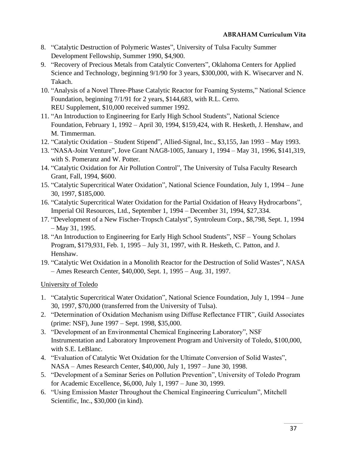- 8. "Catalytic Destruction of Polymeric Wastes", University of Tulsa Faculty Summer Development Fellowship, Summer 1990, \$4,900.
- 9. "Recovery of Precious Metals from Catalytic Converters", Oklahoma Centers for Applied Science and Technology, beginning 9/1/90 for 3 years, \$300,000, with K. Wisecarver and N. Takach.
- 10. "Analysis of a Novel Three-Phase Catalytic Reactor for Foaming Systems," National Science Foundation, beginning 7/1/91 for 2 years, \$144,683, with R.L. Cerro. REU Supplement, \$10,000 received summer 1992.
- 11. "An Introduction to Engineering for Early High School Students", National Science Foundation, February 1, 1992 – April 30, 1994, \$159,424, with R. Hesketh, J. Henshaw, and M. Timmerman.
- 12. "Catalytic Oxidation Student Stipend", Allied-Signal, Inc., \$3,155, Jan 1993 May 1993.
- 13. "NASA-Joint Venture", Jove Grant NAG8-1005, January 1, 1994 May 31, 1996, \$141,319, with S. Pomeranz and W. Potter.
- 14. "Catalytic Oxidation for Air Pollution Control", The University of Tulsa Faculty Research Grant, Fall, 1994, \$600.
- 15. "Catalytic Supercritical Water Oxidation", National Science Foundation, July 1, 1994 June 30, 1997, \$185,000.
- 16. "Catalytic Supercritical Water Oxidation for the Partial Oxidation of Heavy Hydrocarbons", Imperial Oil Resources, Ltd., September 1, 1994 – December 31, 1994, \$27,334.
- 17. "Development of a New Fischer-Tropsch Catalyst", Syntroleum Corp., \$8,798, Sept. 1, 1994 – May 31, 1995.
- 18. "An Introduction to Engineering for Early High School Students", NSF Young Scholars Program, \$179,931, Feb. 1, 1995 – July 31, 1997, with R. Hesketh, C. Patton, and J. Henshaw.
- 19. "Catalytic Wet Oxidation in a Monolith Reactor for the Destruction of Solid Wastes", NASA – Ames Research Center, \$40,000, Sept. 1, 1995 – Aug. 31, 1997.

University of Toledo

- 1. "Catalytic Supercritical Water Oxidation", National Science Foundation, July 1, 1994 June 30, 1997, \$70,000 (transferred from the University of Tulsa).
- 2. "Determination of Oxidation Mechanism using Diffuse Reflectance FTIR", Guild Associates (prime: NSF), June 1997 – Sept. 1998, \$35,000.
- 3. "Development of an Environmental Chemical Engineering Laboratory", NSF Instrumentation and Laboratory Improvement Program and University of Toledo, \$100,000, with S.E. LeBlanc.
- 4. "Evaluation of Catalytic Wet Oxidation for the Ultimate Conversion of Solid Wastes", NASA – Ames Research Center, \$40,000, July 1, 1997 – June 30, 1998.
- 5. "Development of a Seminar Series on Pollution Prevention", University of Toledo Program for Academic Excellence, \$6,000, July 1, 1997 – June 30, 1999.
- 6. "Using Emission Master Throughout the Chemical Engineering Curriculum", Mitchell Scientific, Inc., \$30,000 (in kind).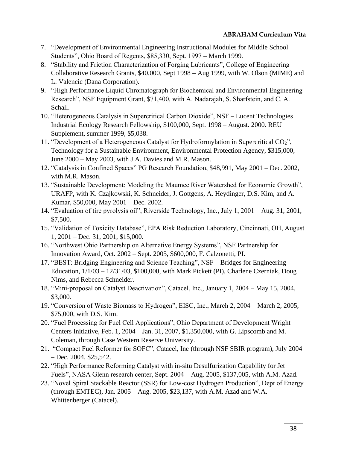- 7. "Development of Environmental Engineering Instructional Modules for Middle School Students", Ohio Board of Regents, \$85,330, Sept. 1997 – March 1999.
- 8. "Stability and Friction Characterization of Forging Lubricants", College of Engineering Collaborative Research Grants, \$40,000, Sept 1998 – Aug 1999, with W. Olson (MIME) and L. Valencic (Dana Corporation).
- 9. "High Performance Liquid Chromatograph for Biochemical and Environmental Engineering Research", NSF Equipment Grant, \$71,400, with A. Nadarajah, S. Sharfstein, and C. A. Schall.
- 10. "Heterogeneous Catalysis in Supercritical Carbon Dioxide", NSF Lucent Technologies Industrial Ecology Research Fellowship, \$100,000, Sept. 1998 – August. 2000. REU Supplement, summer 1999, \$5,038.
- 11. "Development of a Heterogeneous Catalyst for Hydroformylation in Supercritical CO2", Technology for a Sustainable Environment, Environmental Protection Agency, \$315,000, June 2000 – May 2003, with J.A. Davies and M.R. Mason.
- 12. "Catalysis in Confined Spaces" PG Research Foundation, \$48,991, May 2001 Dec. 2002, with M.R. Mason.
- 13. "Sustainable Development: Modeling the Maumee River Watershed for Economic Growth", URAFP, with K. Czajkowski, K. Schneider, J. Gottgens, A. Heydinger, D.S. Kim, and A. Kumar, \$50,000, May 2001 – Dec. 2002.
- 14. "Evaluation of tire pyrolysis oil", Riverside Technology, Inc., July 1, 2001 Aug. 31, 2001, \$7,500.
- 15. "Validation of Toxicity Database", EPA Risk Reduction Laboratory, Cincinnati, OH, August 1, 2001 – Dec. 31, 2001, \$15,000.
- 16. "Northwest Ohio Partnership on Alternative Energy Systems", NSF Partnership for Innovation Award, Oct. 2002 – Sept. 2005, \$600,000, F. Calzonetti, PI.
- 17. "BEST: Bridging Engineering and Science Teaching", NSF Bridges for Engineering Education, 1/1/03 – 12/31/03, \$100,000, with Mark Pickett (PI), Charlene Czerniak, Doug Nims, and Rebecca Schneider.
- 18. "Mini-proposal on Catalyst Deactivation", Catacel, Inc., January 1, 2004 May 15, 2004, \$3,000.
- 19. "Conversion of Waste Biomass to Hydrogen", EISC, Inc., March 2, 2004 March 2, 2005, \$75,000, with D.S. Kim.
- 20. "Fuel Processing for Fuel Cell Applications", Ohio Department of Development Wright Centers Initiative, Feb. 1, 2004 – Jan. 31, 2007, \$1,350,000, with G. Lipscomb and M. Coleman, through Case Western Reserve University.
- 21. "Compact Fuel Reformer for SOFC", Catacel, Inc (through NSF SBIR program), July 2004 – Dec. 2004, \$25,542.
- 22. "High Performance Reforming Catalyst with in-situ Desulfurization Capability for Jet Fuels", NASA Glenn research center, Sept. 2004 – Aug. 2005, \$137,005, with A.M. Azad.
- 23. "Novel Spiral Stackable Reactor (SSR) for Low-cost Hydrogen Production", Dept of Energy (through EMTEC), Jan. 2005 – Aug. 2005, \$23,137, with A.M. Azad and W.A. Whittenberger (Catacel).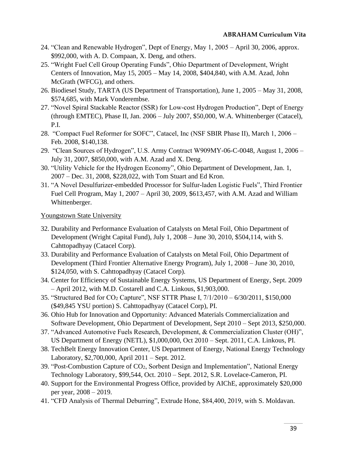- 24. "Clean and Renewable Hydrogen", Dept of Energy, May 1, 2005 April 30, 2006, approx. \$992,000, with A. D. Compaan, X. Deng, and others.
- 25. "Wright Fuel Cell Group Operating Funds", Ohio Department of Development, Wright Centers of Innovation, May 15, 2005 – May 14, 2008, \$404,840, with A.M. Azad, John McGrath (WFCG), and others.
- 26. Biodiesel Study, TARTA (US Department of Transportation), June 1, 2005 May 31, 2008, \$574,685, with Mark Vonderembse.
- 27. "Novel Spiral Stackable Reactor (SSR) for Low-cost Hydrogen Production", Dept of Energy (through EMTEC), Phase II, Jan. 2006 – July 2007, \$50,000, W.A. Whittenberger (Catacel), P.I.
- 28. "Compact Fuel Reformer for SOFC", Catacel, Inc (NSF SBIR Phase II), March 1, 2006 Feb. 2008, \$140,138.
- 29. "Clean Sources of Hydrogen", U.S. Army Contract W909MY-06-C-0048, August 1, 2006 July 31, 2007, \$850,000, with A.M. Azad and X. Deng.
- 30. "Utility Vehicle for the Hydrogen Economy", Ohio Department of Development, Jan. 1, 2007 – Dec. 31, 2008, \$228,022, with Tom Stuart and Ed Kron.
- 31. "A Novel Desulfurizer-embedded Processor for Sulfur-laden Logistic Fuels", Third Frontier Fuel Cell Program, May 1, 2007 – April 30, 2009, \$613,457, with A.M. Azad and William Whittenberger.

Youngstown State University

- 32. Durability and Performance Evaluation of Catalysts on Metal Foil, Ohio Department of Development (Wright Capital Fund), July 1, 2008 – June 30, 2010, \$504,114, with S. Cahttopadhyay (Catacel Corp).
- 33. Durability and Performance Evaluation of Catalysts on Metal Foil, Ohio Department of Development (Third Frontier Alternative Energy Program), July 1, 2008 – June 30, 2010, \$124,050, with S. Cahttopadhyay (Catacel Corp).
- 34. Center for Efficiency of Sustainable Energy Systems, US Department of Energy, Sept. 2009 – April 2012, with M.D. Costarell and C.A. Linkous, \$1,903,000.
- 35. "Structured Bed for CO<sup>2</sup> Capture", NSF STTR Phase I, 7/1/2010 6/30/2011, \$150,000 (\$49,845 YSU portion) S. Cahttopadhyay (Catacel Corp), PI.
- 36. Ohio Hub for Innovation and Opportunity: Advanced Materials Commercialization and Software Development, Ohio Department of Development, Sept 2010 – Sept 2013, \$250,000.
- 37. "Advanced Automotive Fuels Research, Development, & Commercialization Cluster (OH)", US Department of Energy (NETL), \$1,000,000, Oct 2010 – Sept. 2011, C.A. Linkous, PI.
- 38. TechBelt Energy Innovation Center, US Department of Energy, National Energy Technology Laboratory, \$2,700,000, April 2011 – Sept. 2012.
- 39. "Post-Combustion Capture of CO2, Sorbent Design and Implementation", National Energy Technology Laboratory, \$99,544, Oct. 2010 – Sept. 2012, S.R. Lovelace-Cameron, PI.
- 40. Support for the Environmental Progress Office, provided by AIChE, approximately \$20,000 per year, 2008 – 2019.
- 41. "CFD Analysis of Thermal Deburring", Extrude Hone, \$84,400, 2019, with S. Moldavan.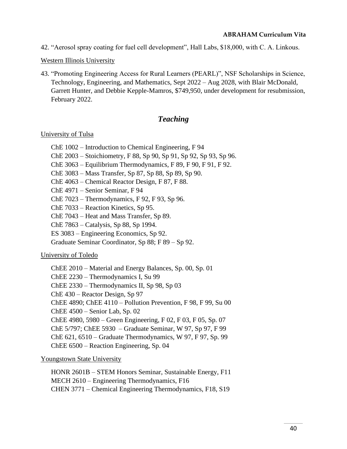42. "Aerosol spray coating for fuel cell development", Hall Labs, \$18,000, with C. A. Linkous.

Western Illinois University

43. "Promoting Engineering Access for Rural Learners (PEARL)", NSF Scholarships in Science, Technology, Engineering, and Mathematics, Sept 2022 – Aug 2028, with Blair McDonald, Garrett Hunter, and Debbie Kepple-Mamros, \$749,950, under development for resubmission, February 2022.

# *Teaching*

## University of Tulsa

- ChE 1002 Introduction to Chemical Engineering, F 94
- ChE 2003 Stoichiometry, F 88, Sp 90, Sp 91, Sp 92, Sp 93, Sp 96.
- ChE 3063 Equilibrium Thermodynamics, F 89, F 90, F 91, F 92.
- ChE 3083 Mass Transfer, Sp 87, Sp 88, Sp 89, Sp 90.
- ChE 4063 Chemical Reactor Design, F 87, F 88.
- ChE 4971 Senior Seminar, F 94
- ChE 7023 Thermodynamics, F 92, F 93, Sp 96.
- ChE 7033 Reaction Kinetics, Sp 95.
- ChE 7043 Heat and Mass Transfer, Sp 89.
- ChE 7863 Catalysis, Sp 88, Sp 1994.
- ES 3083 Engineering Economics, Sp 92.
- Graduate Seminar Coordinator, Sp 88; F 89 Sp 92.

## University of Toledo

ChEE 2010 – Material and Energy Balances, Sp. 00, Sp. 01 ChEE 2230 – Thermodynamics I, Su 99 ChEE 2330 – Thermodynamics II, Sp 98, Sp 03 ChE 430 – Reactor Design, Sp 97 ChEE 4890; ChEE 4110 – Pollution Prevention, F 98, F 99, Su 00 ChEE 4500 – Senior Lab, Sp. 02 ChEE 4980, 5980 – Green Engineering, F 02, F 03, F 05, Sp. 07 ChE 5/797; ChEE 5930 – Graduate Seminar, W 97, Sp 97, F 99 ChE 621, 6510 – Graduate Thermodynamics, W 97, F 97, Sp. 99 ChEE 6500 – Reaction Engineering, Sp. 04

## Youngstown State University

HONR 2601B – STEM Honors Seminar, Sustainable Energy, F11 MECH 2610 – Engineering Thermodynamics, F16 CHEN 3771 – Chemical Engineering Thermodynamics, F18, S19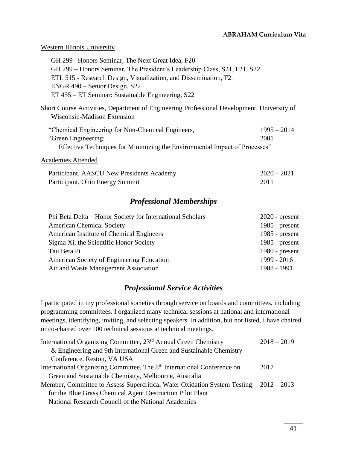## Western Illinois University

| GH 299 – Honors Seminar, The Next Great Idea, F20                                                                         |               |
|---------------------------------------------------------------------------------------------------------------------------|---------------|
| GH 299 – Honors Seminar, The President's Leadership Class, S21, F21, S22                                                  |               |
| ETL 515 - Research Design, Visualization, and Dissemination, F21                                                          |               |
| ENGR 490 – Senior Design, S22                                                                                             |               |
| ET 455 – ET Seminar: Sustainable Engineering, S22                                                                         |               |
| Short Course Activities, Department of Engineering Professional Development, University of<br>Wisconsin-Madison Extension |               |
| "Chemical Engineering for Non-Chemical Engineers,                                                                         | $1995 - 2014$ |
| "Green Engineering:                                                                                                       | 2001          |
|                                                                                                                           |               |

Effective Techniques for Minimizing the Environmental Impact of Processes"

## Academies Attended

| Participant, AASCU New Presidents Academy | $2020 - 2021$ |  |
|-------------------------------------------|---------------|--|
| Participant, Ohio Energy Summit           | 2011          |  |

# *Professional Memberships*

| Phi Beta Delta – Honor Society for International Scholars | $2020$ - present |
|-----------------------------------------------------------|------------------|
| <b>American Chemical Society</b>                          | 1985 - $present$ |
| American Institute of Chemical Engineers                  | 1985 - $present$ |
| Sigma Xi, the Scientific Honor Society                    | 1985 - $present$ |
| Tau Beta Pi                                               | 1980 - $present$ |
| American Society of Engineering Education                 | 1999 - 2016      |
| Air and Waste Management Association                      | 1988 - 1991      |
|                                                           |                  |

# *Professional Service Activities*

I participated in my professional societies through service on boards and committees, including programming committees. I organized many technical sessions at national and international meetings, identifying, inviting, and selecting speakers. In addition, but not listed, I have chaired or co-chaired over 100 technical sessions at technical meetings.

| International Organizing Committee, 23 <sup>rd</sup> Annual Green Chemistry         | $2018 - 2019$ |
|-------------------------------------------------------------------------------------|---------------|
| & Engineering and 9th International Green and Sustainable Chemistry                 |               |
| Conference, Reston, VA USA                                                          |               |
| International Organizing Committee, The 8 <sup>th</sup> International Conference on | 2017          |
| Green and Sustainable Chemistry, Melbourne, Australia                               |               |
| Member, Committee to Assess Supercritical Water Oxidation System Testing            | $2012 - 2013$ |
| for the Blue Grass Chemical Agent Destruction Pilot Plant                           |               |
| National Research Council of the National Academies                                 |               |